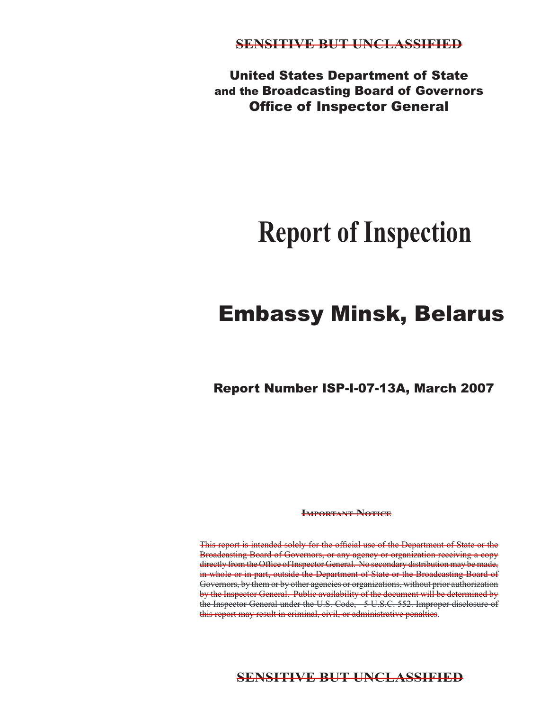United States Department of State and the Broadcasting Board of Governors **Office of Inspector General** 

# **Report of Inspection**

# Embassy Minsk, Belarus

Report Number ISP-I-07-13A, March 2007

**IMPORTANT NOTICE** 

This report is intended solely for the official use of the Department of State or the Broadcasting Board of Governors, or any agency or organization receiving a copy directly from the Office of Inspector General. No secondary distribution may be made, in whole or in part, outside the Department of State or the Broadcasting Board of Governors, by them or by other agencies or organizations, without prior authorization by the Inspector General. Public availability of the document will be determined by the Inspector General under the U.S. Code, 5 U.S.C. 552. Improper disclosure of this report may result in criminal, civil, or administrative penalties.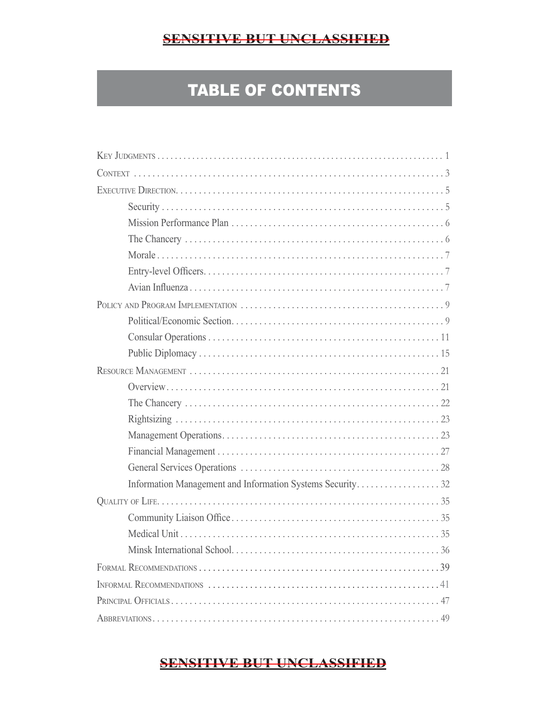# TABLE OF CONTENTS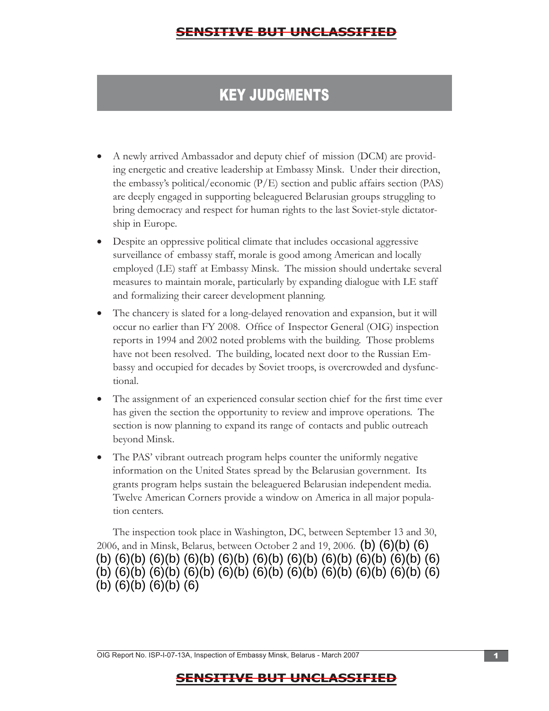# KEY JUDGMENTS

- A newly arrived Ambassador and deputy chief of mission (DCM) are providing energetic and creative leadership at Embassy Minsk. Under their direction, the embassy's political/economic  $(P/E)$  section and public affairs section (PAS) are deeply engaged in supporting beleaguered Belarusian groups struggling to bring democracy and respect for human rights to the last Soviet-style dictatorship in Europe.
- Despite an oppressive political climate that includes occasional aggressive surveillance of embassy staff, morale is good among American and locally employed (LE) staff at Embassy Minsk. The mission should undertake several measures to maintain morale, particularly by expanding dialogue with LE staff and formalizing their career development planning.
- The chancery is slated for a long-delayed renovation and expansion, but it will occur no earlier than FY 2008. Office of Inspector General (OIG) inspection reports in 1994 and 2002 noted problems with the building. Those problems have not been resolved. The building, located next door to the Russian Embassy and occupied for decades by Soviet troops, is overcrowded and dysfunctional.
- The assignment of an experienced consular section chief for the first time ever has given the section the opportunity to review and improve operations. The section is now planning to expand its range of contacts and public outreach beyond Minsk.
- grants program helps sustain the beleaguered Belarusian independent media. Twelve American Corners provide a window on America in all major population centers. • The PAS' vibrant outreach program helps counter the uniformly negative information on the United States spread by the Belarusian government. Its

The inspection took place in Washington, DC, between September 13 and 30, 2006, and in Minsk, Belarus, between October 2 and 19, 2006.  $(b)$   $(6)(b)$   $(6)$ (b) (6)(b) (6)(b) (6)(b) (6)(b) (6)(b) (6)(b) (6)(b) (6)(b) (6)(b) (6) (b) (6)(b) (6)(b) (6)(b) (6)(b) (6)(b) (6)(b) (6)(b) (6)(b) (6)(b) (6) (b) (6)(b) (6)(b) (6)

OIG Report No. ISP-I-07-13A, Inspection of Embassy Minsk, Belarus - March 2007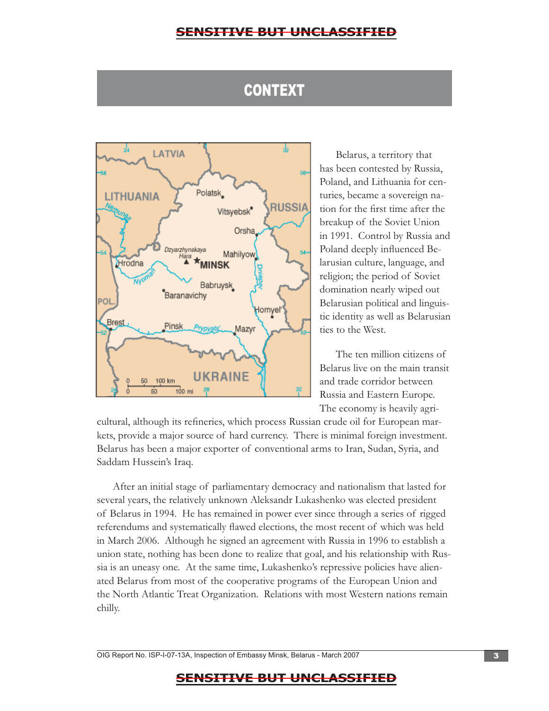# **CONTEXT**



Belarus, a territory that has been contested by Russia, Poland, and Lithuania for centuries, became a sovereign nation for the first time after the breakup of the Soviet Union in 1991. Control by Russia and Poland deeply influenced Belarusian culture, language, and religion; the period of Soviet domination nearly wiped out Belarusian political and linguistic identity as well as Belarusian ties to the West.

The ten million citizens of Belarus live on the main transit and trade corridor between Russia and Eastern Europe. The economy is heavily agri-

cultural, although its refineries, which process Russian crude oil for European markets, provide a major source of hard currency. There is minimal foreign investment. Belarus has been a major exporter of conventional arms to Iran, Sudan, Syria, and Saddam Hussein's Iraq.

After an initial stage of parliamentary democracy and nationalism that lasted for several years, the relatively unknown Aleksandr Lukashenko was elected president of Belarus in 1994. He has remained in power ever since through a series of rigged referendums and systematically flawed elections, the most recent of which was held in March 2006. Although he signed an agreement with Russia in 1996 to establish a union state, nothing has been done to realize that goal, and his relationship with Russia is an uneasy one. At the same time, Lukashenko's repressive policies have alienated Belarus from most of the cooperative programs of the European Union and the North Atlantic Treat Organization. Relations with most Western nations remain chilly.

OIG Report No. ISP-I-07-13A, Inspection of Embassy Minsk, Belarus - March 2007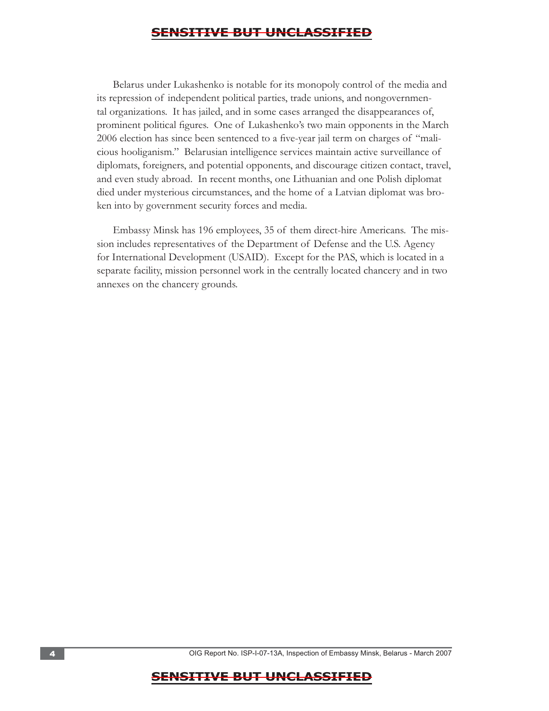Belarus under Lukashenko is notable for its monopoly control of the media and its repression of independent political parties, trade unions, and nongovernmental organizations. It has jailed, and in some cases arranged the disappearances of, prominent political figures. One of Lukashenko's two main opponents in the March 2006 election has since been sentenced to a five-year jail term on charges of "malicious hooliganism." Belarusian intelligence services maintain active surveillance of diplomats, foreigners, and potential opponents, and discourage citizen contact, travel, and even study abroad. In recent months, one Lithuanian and one Polish diplomat died under mysterious circumstances, and the home of a Latvian diplomat was broken into by government security forces and media.

Embassy Minsk has 196 employees, 35 of them direct-hire Americans. The mission includes representatives of the Department of Defense and the U.S. Agency for International Development (USAID). Except for the PAS, which is located in a separate facility, mission personnel work in the centrally located chancery and in two annexes on the chancery grounds.

4 . OIG Report No. ISP-I-07-13A, Inspection of Embassy Minsk, Belarus - March 2007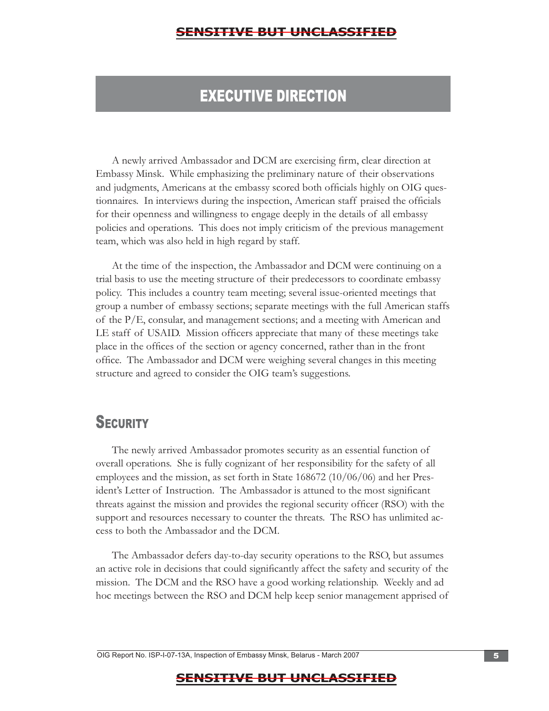# EXECUTIVE DIRECTION

A newly arrived Ambassador and DCM are exercising firm, clear direction at Embassy Minsk. While emphasizing the preliminary nature of their observations and judgments, Americans at the embassy scored both officials highly on OIG questionnaires. In interviews during the inspection, American staff praised the officials for their openness and willingness to engage deeply in the details of all embassy policies and operations. This does not imply criticism of the previous management team, which was also held in high regard by staff.

At the time of the inspection, the Ambassador and DCM were continuing on a trial basis to use the meeting structure of their predecessors to coordinate embassy policy. This includes a country team meeting; several issue-oriented meetings that group a number of embassy sections; separate meetings with the full American staffs of the P/E, consular, and management sections; and a meeting with American and LE staff of USAID. Mission officers appreciate that many of these meetings take place in the offices of the section or agency concerned, rather than in the front office. The Ambassador and DCM were weighing several changes in this meeting structure and agreed to consider the OIG team's suggestions.

# **SECURITY**

The newly arrived Ambassador promotes security as an essential function of overall operations. She is fully cognizant of her responsibility for the safety of all employees and the mission, as set forth in State 168672 (10/06/06) and her President's Letter of Instruction. The Ambassador is attuned to the most significant threats against the mission and provides the regional security officer (RSO) with the support and resources necessary to counter the threats. The RSO has unlimited access to both the Ambassador and the DCM.

The Ambassador defers day-to-day security operations to the RSO, but assumes an active role in decisions that could significantly affect the safety and security of the mission. The DCM and the RSO have a good working relationship. Weekly and ad hoc meetings between the RSO and DCM help keep senior management apprised of

OIG Report No. ISP-I-07-13A, Inspection of Embassy Minsk, Belarus - March 2007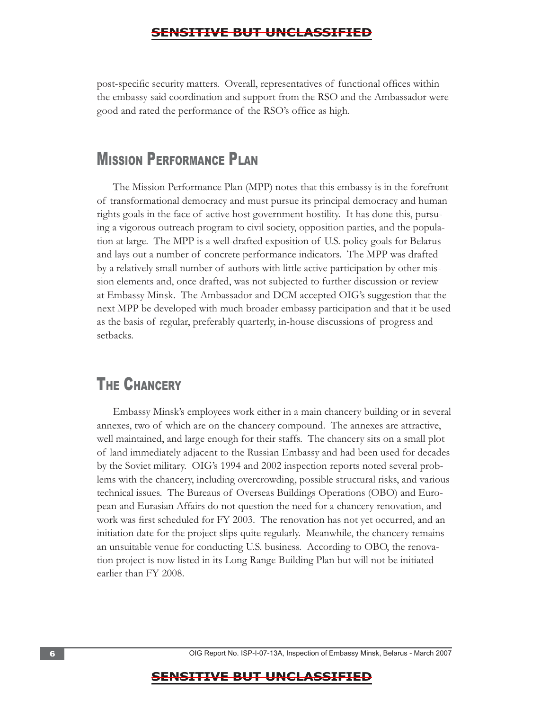post-specific security matters. Overall, representatives of functional offices within the embassy said coordination and support from the RSO and the Ambassador were good and rated the performance of the RSO's office as high.

# **MISSION PERFORMANCE PLAN**

The Mission Performance Plan (MPP) notes that this embassy is in the forefront of transformational democracy and must pursue its principal democracy and human rights goals in the face of active host government hostility. It has done this, pursuing a vigorous outreach program to civil society, opposition parties, and the population at large. The MPP is a well-drafted exposition of U.S. policy goals for Belarus and lays out a number of concrete performance indicators. The MPP was drafted by a relatively small number of authors with little active participation by other mission elements and, once drafted, was not subjected to further discussion or review at Embassy Minsk. The Ambassador and DCM accepted OIG's suggestion that the next MPP be developed with much broader embassy participation and that it be used as the basis of regular, preferably quarterly, in-house discussions of progress and setbacks.

# **THE CHANCERY**

Embassy Minsk's employees work either in a main chancery building or in several annexes, two of which are on the chancery compound. The annexes are attractive, well maintained, and large enough for their staffs. The chancery sits on a small plot of land immediately adjacent to the Russian Embassy and had been used for decades by the Soviet military. OIG's 1994 and 2002 inspection reports noted several problems with the chancery, including overcrowding, possible structural risks, and various technical issues. The Bureaus of Overseas Buildings Operations (OBO) and European and Eurasian Affairs do not question the need for a chancery renovation, and work was first scheduled for FY 2003. The renovation has not yet occurred, and an initiation date for the project slips quite regularly. Meanwhile, the chancery remains an unsuitable venue for conducting U.S. business. According to OBO, the renovation project is now listed in its Long Range Building Plan but will not be initiated earlier than FY 2008.

6 . OIG Report No. ISP-I-07-13A, Inspection of Embassy Minsk, Belarus - March 2007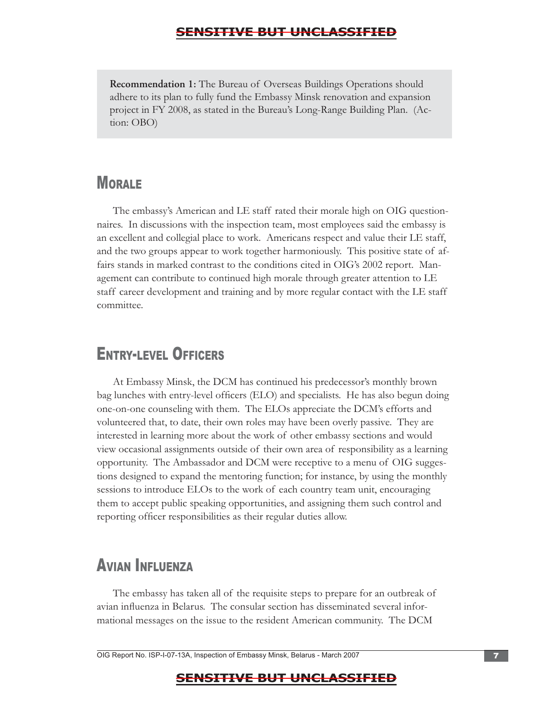**Recommendation 1:** The Bureau of Overseas Buildings Operations should adhere to its plan to fully fund the Embassy Minsk renovation and expansion project in FY 2008, as stated in the Bureau's Long-Range Building Plan. (Action: OBO)

# **MORALE**

The embassy's American and LE staff rated their morale high on OIG questionnaires. In discussions with the inspection team, most employees said the embassy is an excellent and collegial place to work. Americans respect and value their LE staff, and the two groups appear to work together harmoniously. This positive state of affairs stands in marked contrast to the conditions cited in OIG's 2002 report. Management can contribute to continued high morale through greater attention to LE staff career development and training and by more regular contact with the LE staff committee.

# ENTRY-LEVEL OFFICERS

At Embassy Minsk, the DCM has continued his predecessor's monthly brown bag lunches with entry-level officers (ELO) and specialists. He has also begun doing one-on-one counseling with them. The ELOs appreciate the DCM's efforts and volunteered that, to date, their own roles may have been overly passive. They are interested in learning more about the work of other embassy sections and would view occasional assignments outside of their own area of responsibility as a learning opportunity. The Ambassador and DCM were receptive to a menu of OIG suggestions designed to expand the mentoring function; for instance, by using the monthly sessions to introduce ELOs to the work of each country team unit, encouraging them to accept public speaking opportunities, and assigning them such control and reporting officer responsibilities as their regular duties allow.

# AVIAN INFLUENZA

The embassy has taken all of the requisite steps to prepare for an outbreak of avian influenza in Belarus. The consular section has disseminated several informational messages on the issue to the resident American community. The DCM

OIG Report No. ISP-I-07-13A, Inspection of Embassy Minsk, Belarus - March 2007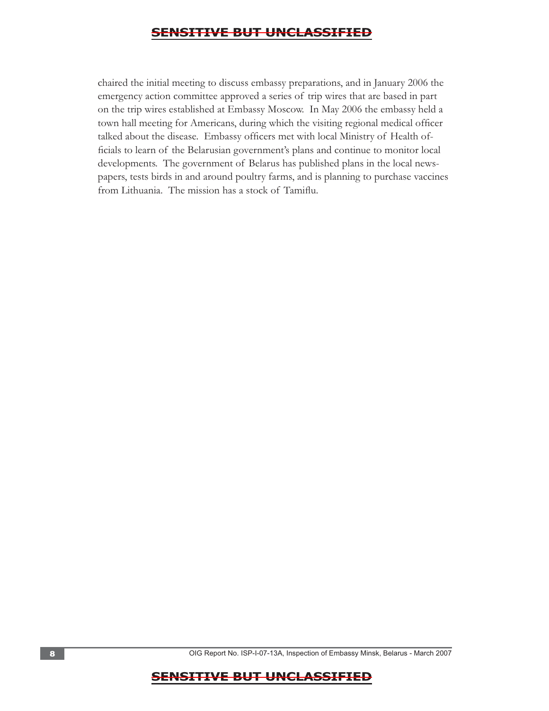chaired the initial meeting to discuss embassy preparations, and in January 2006 the emergency action committee approved a series of trip wires that are based in part on the trip wires established at Embassy Moscow. In May 2006 the embassy held a town hall meeting for Americans, during which the visiting regional medical officer talked about the disease. Embassy officers met with local Ministry of Health officials to learn of the Belarusian government's plans and continue to monitor local developments. The government of Belarus has published plans in the local newspapers, tests birds in and around poultry farms, and is planning to purchase vaccines from Lithuania. The mission has a stock of Tamiflu.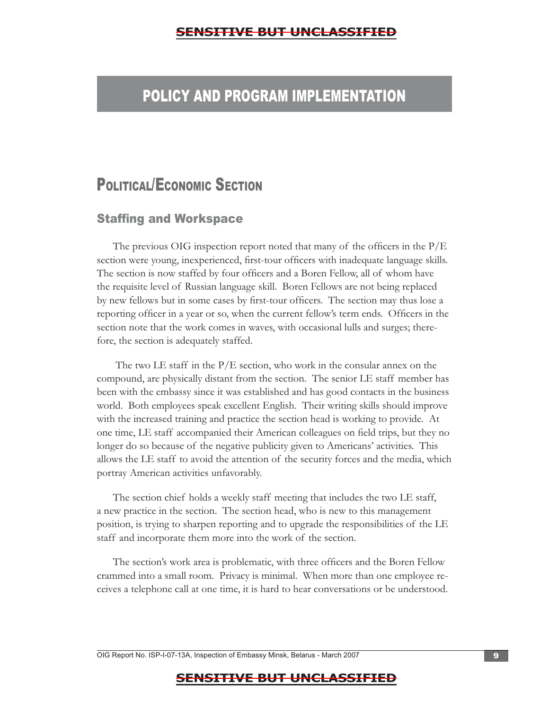# POLICY AND PROGRAM IMPLEMENTATION

# POLITICAL/ECONOMIC SECTION

#### **Staffing and Workspace**

The previous OIG inspection report noted that many of the officers in the P/E section were young, inexperienced, first-tour officers with inadequate language skills. The section is now staffed by four officers and a Boren Fellow, all of whom have the requisite level of Russian language skill. Boren Fellows are not being replaced by new fellows but in some cases by first-tour officers. The section may thus lose a reporting officer in a year or so, when the current fellow's term ends. Officers in the section note that the work comes in waves, with occasional lulls and surges; therefore, the section is adequately staffed.

The two LE staff in the  $P/E$  section, who work in the consular annex on the compound, are physically distant from the section. The senior LE staff member has been with the embassy since it was established and has good contacts in the business world. Both employees speak excellent English. Their writing skills should improve with the increased training and practice the section head is working to provide. At one time, LE staff accompanied their American colleagues on field trips, but they no longer do so because of the negative publicity given to Americans' activities. This allows the LE staff to avoid the attention of the security forces and the media, which portray American activities unfavorably.

The section chief holds a weekly staff meeting that includes the two LE staff, a new practice in the section. The section head, who is new to this management position, is trying to sharpen reporting and to upgrade the responsibilities of the LE staff and incorporate them more into the work of the section.

The section's work area is problematic, with three officers and the Boren Fellow crammed into a small room. Privacy is minimal. When more than one employee receives a telephone call at one time, it is hard to hear conversations or be understood.

OIG Report No. ISP-I-07-13A, Inspection of Embassy Minsk, Belarus - March 2007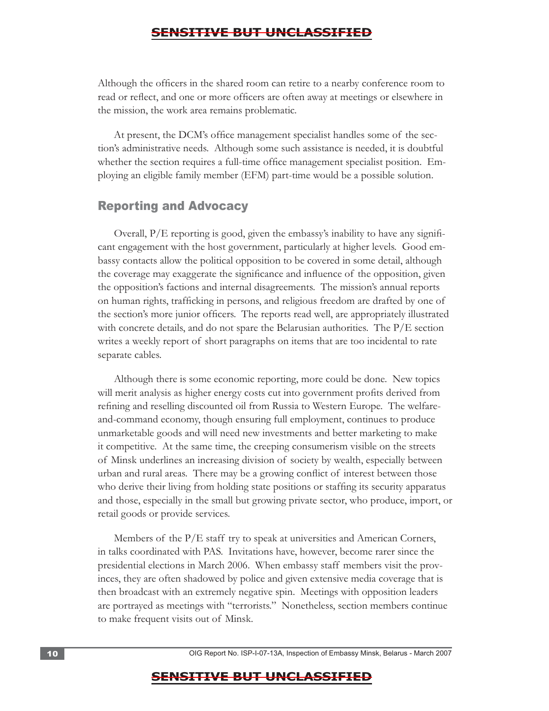Although the officers in the shared room can retire to a nearby conference room to read or reflect, and one or more officers are often away at meetings or elsewhere in the mission, the work area remains problematic.

At present, the DCM's office management specialist handles some of the section's administrative needs. Although some such assistance is needed, it is doubtful whether the section requires a full-time office management specialist position. Employing an eligible family member (EFM) part-time would be a possible solution.

#### Reporting and Advocacy

Overall, P/E reporting is good, given the embassy's inability to have any signifi cant engagement with the host government, particularly at higher levels. Good embassy contacts allow the political opposition to be covered in some detail, although the coverage may exaggerate the significance and influence of the opposition, given the opposition's factions and internal disagreements. The mission's annual reports on human rights, trafficking in persons, and religious freedom are drafted by one of the section's more junior officers. The reports read well, are appropriately illustrated with concrete details, and do not spare the Belarusian authorities. The P/E section writes a weekly report of short paragraphs on items that are too incidental to rate separate cables.

Although there is some economic reporting, more could be done. New topics will merit analysis as higher energy costs cut into government profits derived from refining and reselling discounted oil from Russia to Western Europe. The welfareand-command economy, though ensuring full employment, continues to produce unmarketable goods and will need new investments and better marketing to make it competitive. At the same time, the creeping consumerism visible on the streets of Minsk underlines an increasing division of society by wealth, especially between urban and rural areas. There may be a growing conflict of interest between those who derive their living from holding state positions or staffing its security apparatus and those, especially in the small but growing private sector, who produce, import, or retail goods or provide services.

Members of the P/E staff try to speak at universities and American Corners, in talks coordinated with PAS. Invitations have, however, become rarer since the presidential elections in March 2006. When embassy staff members visit the provinces, they are often shadowed by police and given extensive media coverage that is then broadcast with an extremely negative spin. Meetings with opposition leaders are portrayed as meetings with "terrorists." Nonetheless, section members continue to make frequent visits out of Minsk.

10 **10 . OIG Report No. ISP-I-07-13A, Inspection of Embassy Minsk, Belarus - March 2007**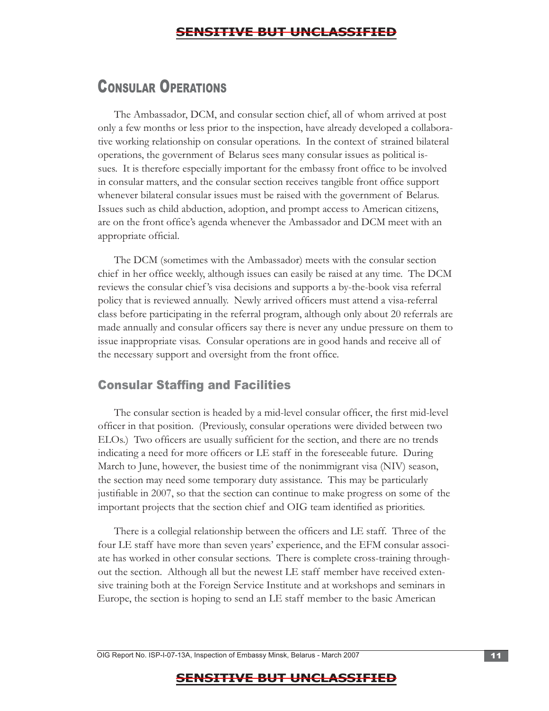# CONSULAR OPERATIONS

The Ambassador, DCM, and consular section chief, all of whom arrived at post only a few months or less prior to the inspection, have already developed a collaborative working relationship on consular operations. In the context of strained bilateral operations, the government of Belarus sees many consular issues as political issues. It is therefore especially important for the embassy front office to be involved in consular matters, and the consular section receives tangible front office support whenever bilateral consular issues must be raised with the government of Belarus. Issues such as child abduction, adoption, and prompt access to American citizens, are on the front office's agenda whenever the Ambassador and DCM meet with an appropriate official.

The DCM (sometimes with the Ambassador) meets with the consular section chief in her office weekly, although issues can easily be raised at any time. The DCM reviews the consular chief 's visa decisions and supports a by-the-book visa referral policy that is reviewed annually. Newly arrived officers must attend a visa-referral class before participating in the referral program, although only about 20 referrals are made annually and consular officers say there is never any undue pressure on them to issue inappropriate visas. Consular operations are in good hands and receive all of the necessary support and oversight from the front office.

### **Consular Staffing and Facilities**

The consular section is headed by a mid-level consular officer, the first mid-level officer in that position. (Previously, consular operations were divided between two ELOs.) Two officers are usually sufficient for the section, and there are no trends indicating a need for more officers or LE staff in the foreseeable future. During March to June, however, the busiest time of the nonimmigrant visa (NIV) season, the section may need some temporary duty assistance. This may be particularly justifiable in 2007, so that the section can continue to make progress on some of the important projects that the section chief and OIG team identified as priorities.

There is a collegial relationship between the officers and LE staff. Three of the four LE staff have more than seven years' experience, and the EFM consular associate has worked in other consular sections. There is complete cross-training throughout the section. Although all but the newest LE staff member have received extensive training both at the Foreign Service Institute and at workshops and seminars in Europe, the section is hoping to send an LE staff member to the basic American

OIG Report No. ISP-I-07-13A, Inspection of Embassy Minsk, Belarus - March 2007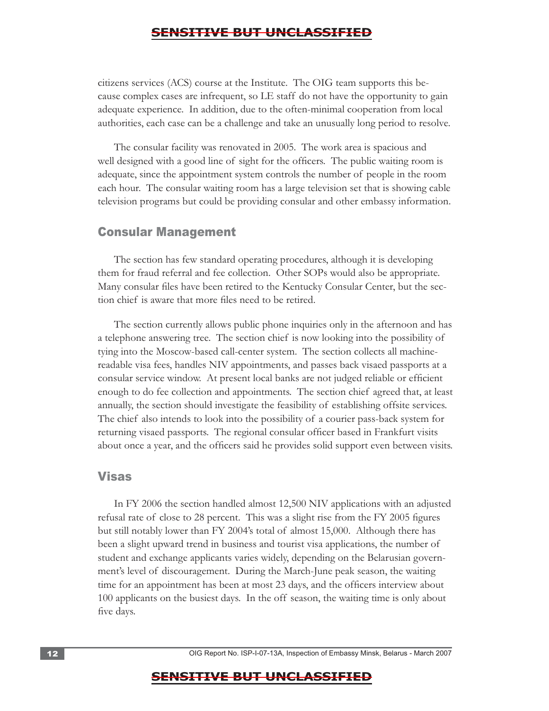citizens services (ACS) course at the Institute. The OIG team supports this because complex cases are infrequent, so LE staff do not have the opportunity to gain adequate experience. In addition, due to the often-minimal cooperation from local

 authorities, each case can be a challenge and take an unusually long period to resolve. The consular facility was renovated in 2005. The work area is spacious and well designed with a good line of sight for the officers. The public waiting room is adequate, since the appointment system controls the number of people in the room each hour. The consular waiting room has a large television set that is showing cable television programs but could be providing consular and other embassy information.

#### Consular Management

The section has few standard operating procedures, although it is developing them for fraud referral and fee collection. Other SOPs would also be appropriate. Many consular files have been retired to the Kentucky Consular Center, but the section chief is aware that more files need to be retired.

The section currently allows public phone inquiries only in the afternoon and has a telephone answering tree. The section chief is now looking into the possibility of tying into the Moscow-based call-center system. The section collects all machinereadable visa fees, handles NIV appointments, and passes back visaed passports at a consular service window. At present local banks are not judged reliable or efficient enough to do fee collection and appointments. The section chief agreed that, at least annually, the section should investigate the feasibility of establishing offsite services. The chief also intends to look into the possibility of a courier pass-back system for returning visaed passports. The regional consular officer based in Frankfurt visits about once a year, and the officers said he provides solid support even between visits.

#### Visas

In FY 2006 the section handled almost 12,500 NIV applications with an adjusted refusal rate of close to 28 percent. This was a slight rise from the FY 2005 figures but still notably lower than FY 2004's total of almost 15,000. Although there has been a slight upward trend in business and tourist visa applications, the number of student and exchange applicants varies widely, depending on the Belarusian government's level of discouragement. During the March-June peak season, the waiting time for an appointment has been at most 23 days, and the officers interview about 100 applicants on the busiest days. In the off season, the waiting time is only about five days.

12 **12 12 COM COMPASSIGNS COMPASSIGNS COMPASSIGNS COMPASSIGNS COMPASSIGNS COMPASSIGNS CONFINITY COMPASSIGNS CONFINITY CONFINITY CONFINITY CONFINITY CONFINITY CONFINITY CONFINITY CONFINIT**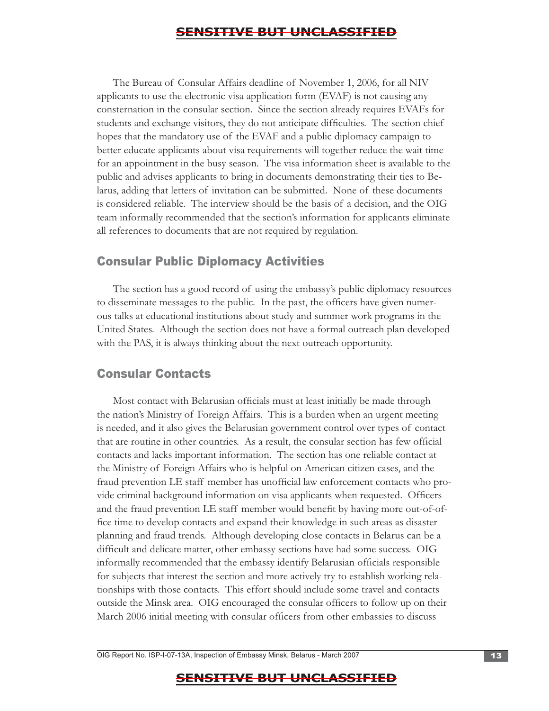The Bureau of Consular Affairs deadline of November 1, 2006, for all NIV applicants to use the electronic visa application form (EVAF) is not causing any consternation in the consular section. Since the section already requires EVAFs for students and exchange visitors, they do not anticipate difficulties. The section chief hopes that the mandatory use of the EVAF and a public diplomacy campaign to better educate applicants about visa requirements will together reduce the wait time for an appointment in the busy season. The visa information sheet is available to the public and advises applicants to bring in documents demonstrating their ties to Belarus, adding that letters of invitation can be submitted. None of these documents is considered reliable. The interview should be the basis of a decision, and the OIG team informally recommended that the section's information for applicants eliminate all references to documents that are not required by regulation.

#### Consular Public Diplomacy Activities

The section has a good record of using the embassy's public diplomacy resources to disseminate messages to the public. In the past, the officers have given numerous talks at educational institutions about study and summer work programs in the United States. Although the section does not have a formal outreach plan developed with the PAS, it is always thinking about the next outreach opportunity.

#### Consular Contacts

Most contact with Belarusian officials must at least initially be made through the nation's Ministry of Foreign Affairs. This is a burden when an urgent meeting is needed, and it also gives the Belarusian government control over types of contact that are routine in other countries. As a result, the consular section has few official contacts and lacks important information. The section has one reliable contact at the Ministry of Foreign Affairs who is helpful on American citizen cases, and the fraud prevention LE staff member has unofficial law enforcement contacts who provide criminal background information on visa applicants when requested. Officers and the fraud prevention LE staff member would benefit by having more out-of-office time to develop contacts and expand their knowledge in such areas as disaster planning and fraud trends. Although developing close contacts in Belarus can be a difficult and delicate matter, other embassy sections have had some success. OIG informally recommended that the embassy identify Belarusian officials responsible for subjects that interest the section and more actively try to establish working relationships with those contacts. This effort should include some travel and contacts outside the Minsk area. OIG encouraged the consular officers to follow up on their March 2006 initial meeting with consular officers from other embassies to discuss

OIG Report No. ISP-I-07-13A, Inspection of Embassy Minsk, Belarus - March 2007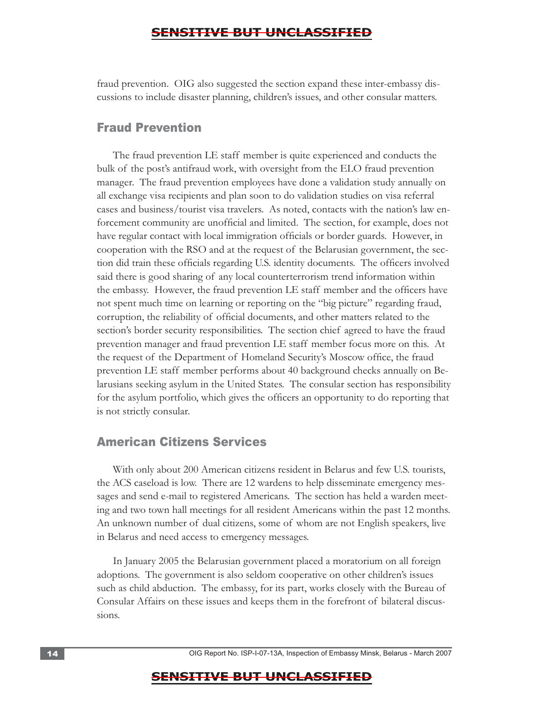fraud prevention. OIG also suggested the section expand these inter-embassy discussions to include disaster planning, children's issues, and other consular matters.

#### Fraud Prevention

The fraud prevention LE staff member is quite experienced and conducts the bulk of the post's antifraud work, with oversight from the ELO fraud prevention manager. The fraud prevention employees have done a validation study annually on all exchange visa recipients and plan soon to do validation studies on visa referral cases and business/tourist visa travelers. As noted, contacts with the nation's law enforcement community are unofficial and limited. The section, for example, does not have regular contact with local immigration officials or border guards. However, in cooperation with the RSO and at the request of the Belarusian government, the section did train these officials regarding U.S. identity documents. The officers involved said there is good sharing of any local counterterrorism trend information within the embassy. However, the fraud prevention LE staff member and the officers have not spent much time on learning or reporting on the "big picture" regarding fraud, corruption, the reliability of official documents, and other matters related to the section's border security responsibilities. The section chief agreed to have the fraud prevention manager and fraud prevention LE staff member focus more on this. At the request of the Department of Homeland Security's Moscow office, the fraud prevention LE staff member performs about 40 background checks annually on Belarusians seeking asylum in the United States. The consular section has responsibility for the asylum portfolio, which gives the officers an opportunity to do reporting that is not strictly consular.

#### American Citizens Services

With only about 200 American citizens resident in Belarus and few U.S. tourists, the ACS caseload is low. There are 12 wardens to help disseminate emergency messages and send e-mail to registered Americans. The section has held a warden meeting and two town hall meetings for all resident Americans within the past 12 months. An unknown number of dual citizens, some of whom are not English speakers, live in Belarus and need access to emergency messages.

In January 2005 the Belarusian government placed a moratorium on all foreign adoptions. The government is also seldom cooperative on other children's issues such as child abduction. The embassy, for its part, works closely with the Bureau of Consular Affairs on these issues and keeps them in the forefront of bilateral discussions.

14 . OIG Report No. ISP-I-07-13A, Inspection of Embassy Minsk, Belarus - March 2007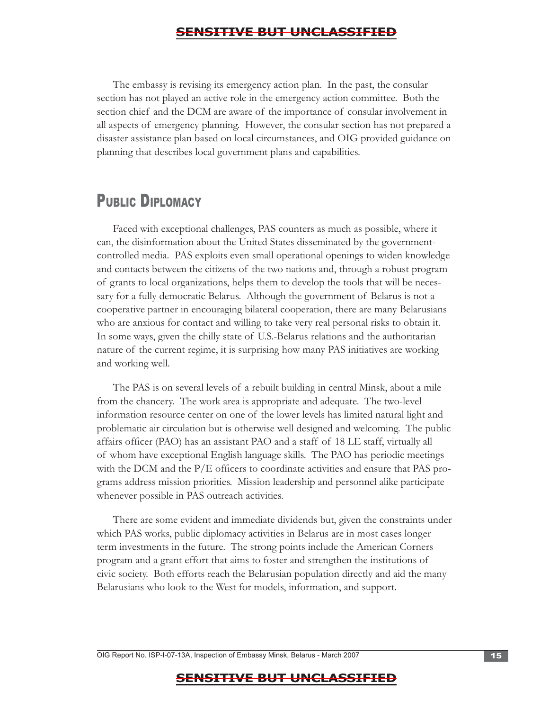The embassy is revising its emergency action plan. In the past, the consular section has not played an active role in the emergency action committee. Both the section chief and the DCM are aware of the importance of consular involvement in all aspects of emergency planning. However, the consular section has not prepared a disaster assistance plan based on local circumstances, and OIG provided guidance on planning that describes local government plans and capabilities.

# PUBLIC DIPLOMACY

Faced with exceptional challenges, PAS counters as much as possible, where it can, the disinformation about the United States disseminated by the governmentcontrolled media. PAS exploits even small operational openings to widen knowledge and contacts between the citizens of the two nations and, through a robust program of grants to local organizations, helps them to develop the tools that will be necessary for a fully democratic Belarus. Although the government of Belarus is not a cooperative partner in encouraging bilateral cooperation, there are many Belarusians who are anxious for contact and willing to take very real personal risks to obtain it. In some ways, given the chilly state of U.S.-Belarus relations and the authoritarian nature of the current regime, it is surprising how many PAS initiatives are working and working well.

The PAS is on several levels of a rebuilt building in central Minsk, about a mile from the chancery. The work area is appropriate and adequate. The two-level information resource center on one of the lower levels has limited natural light and problematic air circulation but is otherwise well designed and welcoming. The public affairs officer (PAO) has an assistant PAO and a staff of 18 LE staff, virtually all of whom have exceptional English language skills. The PAO has periodic meetings with the DCM and the P/E officers to coordinate activities and ensure that PAS programs address mission priorities. Mission leadership and personnel alike participate whenever possible in PAS outreach activities.

There are some evident and immediate dividends but, given the constraints under which PAS works, public diplomacy activities in Belarus are in most cases longer term investments in the future. The strong points include the American Corners program and a grant effort that aims to foster and strengthen the institutions of civic society. Both efforts reach the Belarusian population directly and aid the many Belarusians who look to the West for models, information, and support.

OIG Report No. ISP-I-07-13A, Inspection of Embassy Minsk, Belarus - March 2007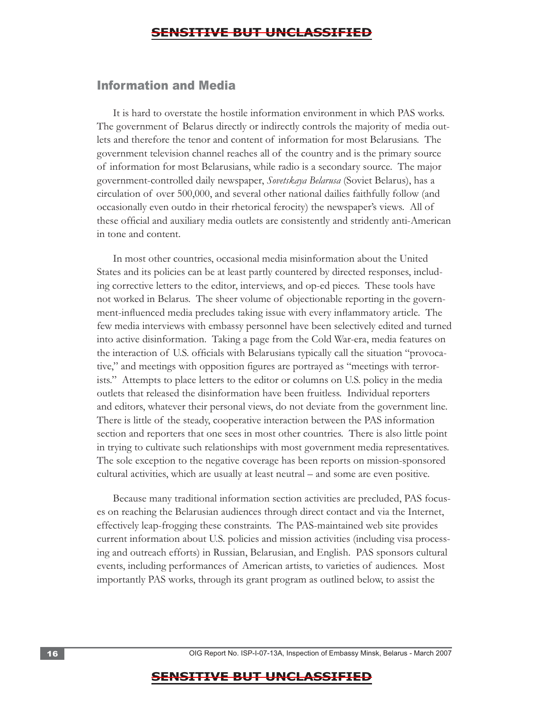#### Information and Media

It is hard to overstate the hostile information environment in which PAS works. The government of Belarus directly or indirectly controls the majority of media outlets and therefore the tenor and content of information for most Belarusians. The government television channel reaches all of the country and is the primary source of information for most Belarusians, while radio is a secondary source. The major government-controlled daily newspaper, *Sovetskaya Belarusa* (Soviet Belarus), has a circulation of over 500,000, and several other national dailies faithfully follow (and occasionally even outdo in their rhetorical ferocity) the newspaper's views. All of these official and auxiliary media outlets are consistently and stridently anti-American in tone and content.

 in trying to cultivate such relationships with most government media representatives. The sole exception to the negative coverage has been reports on mission-sponsored cultural activities, which are usually at least neutral – and some are even positive. In most other countries, occasional media misinformation about the United States and its policies can be at least partly countered by directed responses, including corrective letters to the editor, interviews, and op-ed pieces. These tools have not worked in Belarus. The sheer volume of objectionable reporting in the government-influenced media precludes taking issue with every inflammatory article. The few media interviews with embassy personnel have been selectively edited and turned into active disinformation. Taking a page from the Cold War-era, media features on the interaction of U.S. officials with Belarusians typically call the situation "provocative," and meetings with opposition figures are portrayed as "meetings with terrorists." Attempts to place letters to the editor or columns on U.S. policy in the media outlets that released the disinformation have been fruitless. Individual reporters and editors, whatever their personal views, do not deviate from the government line. There is little of the steady, cooperative interaction between the PAS information section and reporters that one sees in most other countries. There is also little point

Because many traditional information section activities are precluded, PAS focuses on reaching the Belarusian audiences through direct contact and via the Internet, effectively leap-frogging these constraints. The PAS-maintained web site provides current information about U.S. policies and mission activities (including visa processing and outreach efforts) in Russian, Belarusian, and English. PAS sponsors cultural events, including performances of American artists, to varieties of audiences. Most importantly PAS works, through its grant program as outlined below, to assist the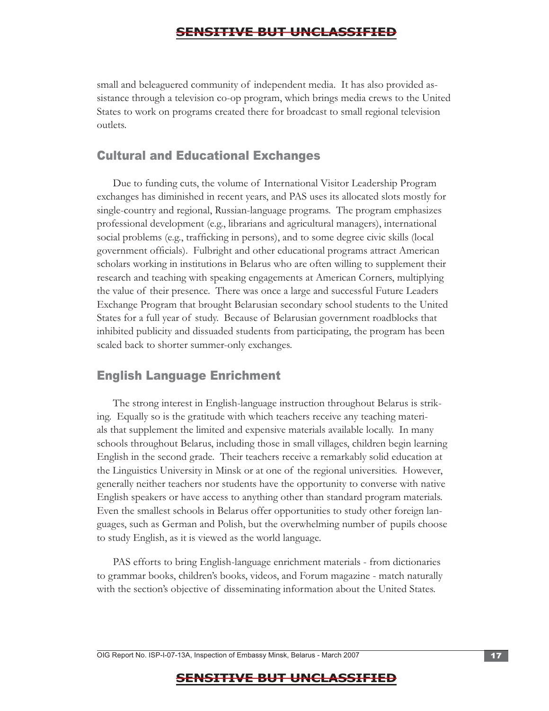small and beleaguered community of independent media. It has also provided assistance through a television co-op program, which brings media crews to the United States to work on programs created there for broadcast to small regional television outlets.

#### Cultural and Educational Exchanges

Due to funding cuts, the volume of International Visitor Leadership Program exchanges has diminished in recent years, and PAS uses its allocated slots mostly for single-country and regional, Russian-language programs. The program emphasizes professional development (e.g., librarians and agricultural managers), international social problems (e.g., trafficking in persons), and to some degree civic skills (local government officials). Fulbright and other educational programs attract American scholars working in institutions in Belarus who are often willing to supplement their research and teaching with speaking engagements at American Corners, multiplying the value of their presence. There was once a large and successful Future Leaders Exchange Program that brought Belarusian secondary school students to the United States for a full year of study. Because of Belarusian government roadblocks that inhibited publicity and dissuaded students from participating, the program has been scaled back to shorter summer-only exchanges.

#### English Language Enrichment

The strong interest in English-language instruction throughout Belarus is striking. Equally so is the gratitude with which teachers receive any teaching materials that supplement the limited and expensive materials available locally. In many schools throughout Belarus, including those in small villages, children begin learning English in the second grade. Their teachers receive a remarkably solid education at the Linguistics University in Minsk or at one of the regional universities. However, generally neither teachers nor students have the opportunity to converse with native English speakers or have access to anything other than standard program materials. Even the smallest schools in Belarus offer opportunities to study other foreign languages, such as German and Polish, but the overwhelming number of pupils choose to study English, as it is viewed as the world language.

PAS efforts to bring English-language enrichment materials - from dictionaries to grammar books, children's books, videos, and Forum magazine - match naturally with the section's objective of disseminating information about the United States.

OIG Report No. ISP-I-07-13A, Inspection of Embassy Minsk, Belarus - March 2007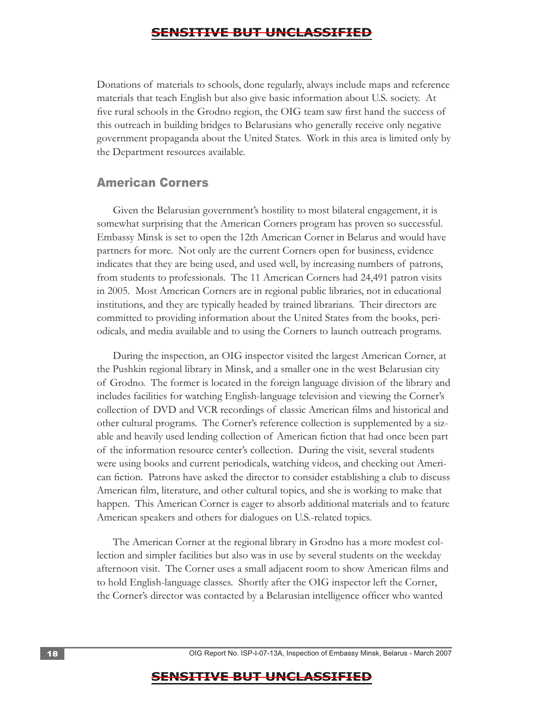Donations of materials to schools, done regularly, always include maps and reference materials that teach English but also give basic information about U.S. society. At five rural schools in the Grodno region, the OIG team saw first hand the success of this outreach in building bridges to Belarusians who generally receive only negative government propaganda about the United States. Work in this area is limited only by the Department resources available.

#### American Corners

Given the Belarusian government's hostility to most bilateral engagement, it is somewhat surprising that the American Corners program has proven so successful. Embassy Minsk is set to open the 12th American Corner in Belarus and would have partners for more. Not only are the current Corners open for business, evidence indicates that they are being used, and used well, by increasing numbers of patrons, from students to professionals. The 11 American Corners had 24,491 patron visits in 2005. Most American Corners are in regional public libraries, not in educational institutions, and they are typically headed by trained librarians. Their directors are committed to providing information about the United States from the books, periodicals, and media available and to using the Corners to launch outreach programs.

During the inspection, an OIG inspector visited the largest American Corner, at the Pushkin regional library in Minsk, and a smaller one in the west Belarusian city of Grodno. The former is located in the foreign language division of the library and includes facilities for watching English-language television and viewing the Corner's collection of DVD and VCR recordings of classic American films and historical and other cultural programs. The Corner's reference collection is supplemented by a sizable and heavily used lending collection of American fiction that had once been part of the information resource center's collection. During the visit, several students were using books and current periodicals, watching videos, and checking out American fiction. Patrons have asked the director to consider establishing a club to discuss American film, literature, and other cultural topics, and she is working to make that happen. This American Corner is eager to absorb additional materials and to feature American speakers and others for dialogues on U.S.-related topics.

The American Corner at the regional library in Grodno has a more modest collection and simpler facilities but also was in use by several students on the weekday afternoon visit. The Corner uses a small adjacent room to show American films and to hold English-language classes. Shortly after the OIG inspector left the Corner, the Corner's director was contacted by a Belarusian intelligence officer who wanted

18 . OIG Report No. ISP-I-07-13A, Inspection of Embassy Minsk, Belarus - March 2007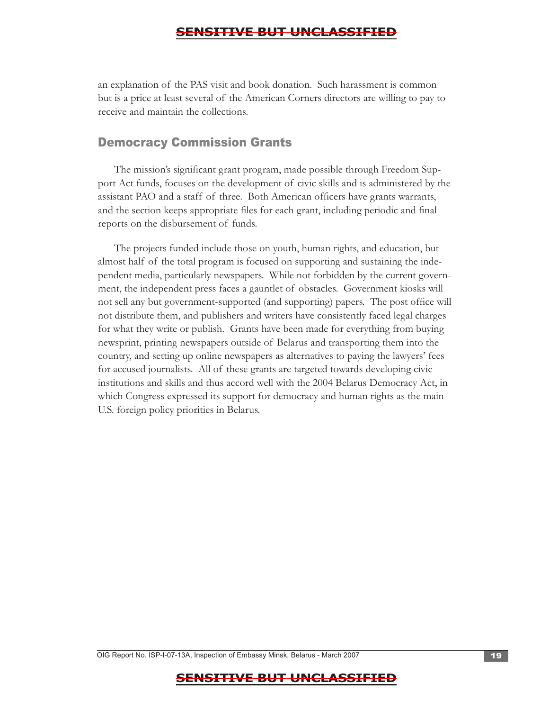an explanation of the PAS visit and book donation. Such harassment is common but is a price at least several of the American Corners directors are willing to pay to receive and maintain the collections.

### Democracy Commission Grants

The mission's significant grant program, made possible through Freedom Support Act funds, focuses on the development of civic skills and is administered by the assistant PAO and a staff of three. Both American officers have grants warrants, and the section keeps appropriate files for each grant, including periodic and final reports on the disbursement of funds.

The projects funded include those on youth, human rights, and education, but almost half of the total program is focused on supporting and sustaining the independent media, particularly newspapers. While not forbidden by the current government, the independent press faces a gauntlet of obstacles. Government kiosks will not sell any but government-supported (and supporting) papers. The post office will not distribute them, and publishers and writers have consistently faced legal charges for what they write or publish. Grants have been made for everything from buying newsprint, printing newspapers outside of Belarus and transporting them into the country, and setting up online newspapers as alternatives to paying the lawyers' fees for accused journalists. All of these grants are targeted towards developing civic institutions and skills and thus accord well with the 2004 Belarus Democracy Act, in which Congress expressed its support for democracy and human rights as the main U.S. foreign policy priorities in Belarus.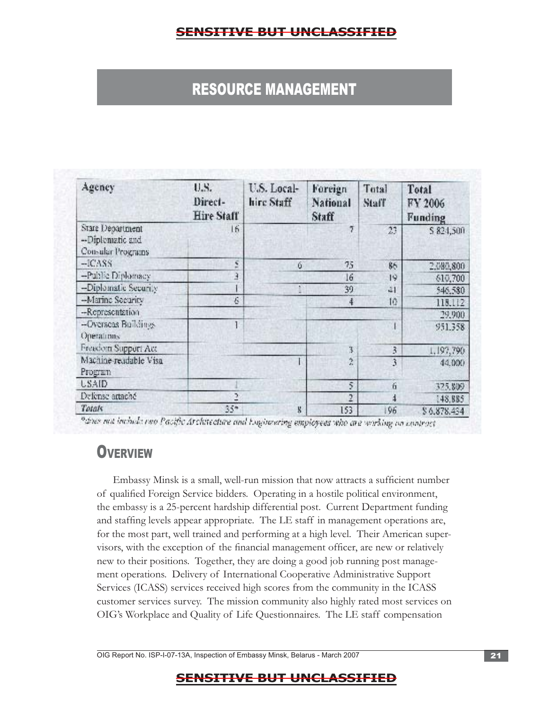# RESOURCE MANAGEMENT

| Agency                                                    | U.S.<br>Direct-<br><b>Hire Staff</b> | U.S. Local-<br>hire Staff | Foreign<br>National<br>Staff | Total<br>Staff | Total<br>FY 2006<br>Funding |
|-----------------------------------------------------------|--------------------------------------|---------------------------|------------------------------|----------------|-----------------------------|
| Stare Department<br>--Diplematic and<br>Consular Programs | 16.                                  |                           | 7                            | 23             | \$824,500                   |
| $-ICASS$                                                  | ۲                                    | 6                         | 75                           | 86             | 2.080,800                   |
| -Public Diplomacy                                         | Э                                    |                           | 16                           | 19             | 610,700                     |
| -Diplomatic Security                                      |                                      |                           | 39                           | $-11$          | 546,580                     |
| -Marine Security                                          | Ġ.                                   |                           | 4                            | 10             | 118,112                     |
| --Representation                                          |                                      |                           |                              |                | 29,900                      |
| -Overseas Buildings<br>Operations                         |                                      |                           |                              |                | 951.358                     |
| Freedom Support Act                                       |                                      |                           | 3.                           | 3              | 1,197,790                   |
| Machine-readable Visa<br>Program                          |                                      |                           | Ŷ.                           | 3              | 44.000                      |
| <b>USAID</b>                                              |                                      |                           | 5                            | 6              | 325.800                     |
| Defense artaché                                           | 2                                    |                           | $\overline{2}$               | 4              | 148,885                     |
| Totals                                                    | $35 -$                               | 8                         | 153                          | 96             | \$6,878.434                 |

"does not include two Pacific Architecture and Engineering employees who are working on contract

# **OVERVIEW**

Embassy Minsk is a small, well-run mission that now attracts a sufficient number of qualified Foreign Service bidders. Operating in a hostile political environment, the embassy is a 25-percent hardship differential post. Current Department funding and staffing levels appear appropriate. The LE staff in management operations are, for the most part, well trained and performing at a high level. Their American supervisors, with the exception of the financial management officer, are new or relatively new to their positions. Together, they are doing a good job running post management operations. Delivery of International Cooperative Administrative Support Services (ICASS) services received high scores from the community in the ICASS customer services survey. The mission community also highly rated most services on OIG's Workplace and Quality of Life Questionnaires. The LE staff compensation

OIG Report No. ISP-I-07-13A, Inspection of Embassy Minsk, Belarus - March 2007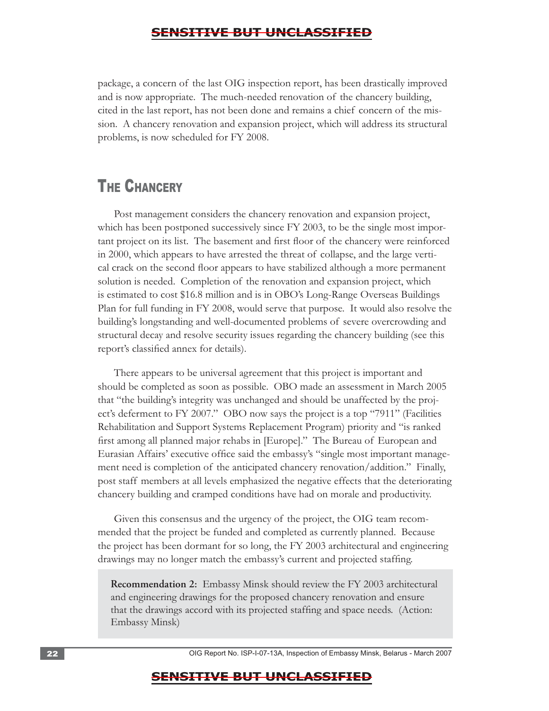package, a concern of the last OIG inspection report, has been drastically improved and is now appropriate. The much-needed renovation of the chancery building, cited in the last report, has not been done and remains a chief concern of the mission. A chancery renovation and expansion project, which will address its structural problems, is now scheduled for FY 2008.

# **THE CHANCERY**

Post management considers the chancery renovation and expansion project, which has been postponed successively since FY 2003, to be the single most important project on its list. The basement and first floor of the chancery were reinforced in 2000, which appears to have arrested the threat of collapse, and the large vertical crack on the second floor appears to have stabilized although a more permanent solution is needed. Completion of the renovation and expansion project, which is estimated to cost \$16.8 million and is in OBO's Long-Range Overseas Buildings Plan for full funding in FY 2008, would serve that purpose. It would also resolve the building's longstanding and well-documented problems of severe overcrowding and structural decay and resolve security issues regarding the chancery building (see this report's classified annex for details).

There appears to be universal agreement that this project is important and should be completed as soon as possible. OBO made an assessment in March 2005 that "the building's integrity was unchanged and should be unaffected by the project's deferment to FY 2007." OBO now says the project is a top "7911" (Facilities Rehabilitation and Support Systems Replacement Program) priority and "is ranked first among all planned major rehabs in [Europe]." The Bureau of European and Eurasian Affairs' executive office said the embassy's "single most important management need is completion of the anticipated chancery renovation/addition." Finally, post staff members at all levels emphasized the negative effects that the deteriorating chancery building and cramped conditions have had on morale and productivity.

Given this consensus and the urgency of the project, the OIG team recommended that the project be funded and completed as currently planned. Because the project has been dormant for so long, the FY 2003 architectural and engineering drawings may no longer match the embassy's current and projected staffing.

**Recommendation 2:** Embassy Minsk should review the FY 2003 architectural and engineering drawings for the proposed chancery renovation and ensure that the drawings accord with its projected staffing and space needs. (Action: Embassy Minsk)

22 **22 22 COM COMPASSIGNS** OIG Report No. ISP-I-07-13A, Inspection of Embassy Minsk, Belarus - March 2007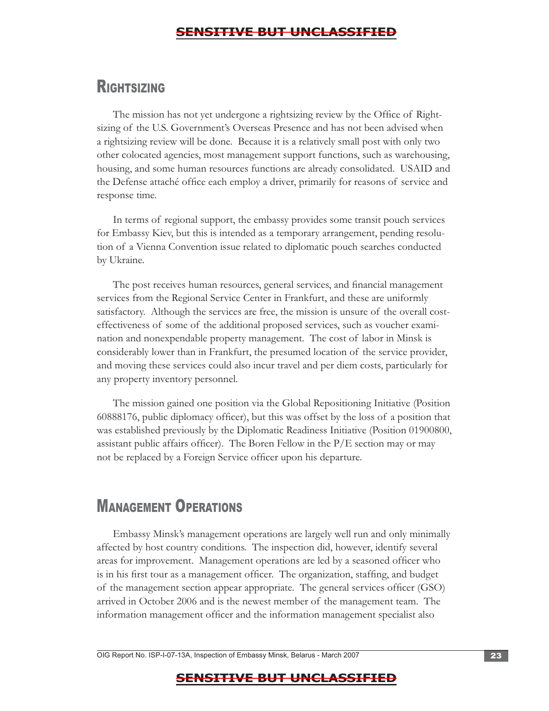# **RIGHTSIZING**

The mission has not yet undergone a rightsizing review by the Office of Rightsizing of the U.S. Government's Overseas Presence and has not been advised when a rightsizing review will be done. Because it is a relatively small post with only two other colocated agencies, most management support functions, such as warehousing, housing, and some human resources functions are already consolidated. USAID and the Defense attaché office each employ a driver, primarily for reasons of service and response time.

In terms of regional support, the embassy provides some transit pouch services for Embassy Kiev, but this is intended as a temporary arrangement, pending resolution of a Vienna Convention issue related to diplomatic pouch searches conducted by Ukraine.

The post receives human resources, general services, and financial management services from the Regional Service Center in Frankfurt, and these are uniformly satisfactory. Although the services are free, the mission is unsure of the overall costeffectiveness of some of the additional proposed services, such as voucher examination and nonexpendable property management. The cost of labor in Minsk is considerably lower than in Frankfurt, the presumed location of the service provider, and moving these services could also incur travel and per diem costs, particularly for any property inventory personnel.

The mission gained one position via the Global Repositioning Initiative (Position 60888176, public diplomacy officer), but this was offset by the loss of a position that was established previously by the Diplomatic Readiness Initiative (Position 01900800, assistant public affairs officer). The Boren Fellow in the P/E section may or may not be replaced by a Foreign Service officer upon his departure.

# MANAGEMENT OPERATIONS

Embassy Minsk's management operations are largely well run and only minimally affected by host country conditions. The inspection did, however, identify several areas for improvement. Management operations are led by a seasoned officer who is in his first tour as a management officer. The organization, staffing, and budget of the management section appear appropriate. The general services officer (GSO) arrived in October 2006 and is the newest member of the management team. The information management officer and the information management specialist also

OIG Report No. ISP-I-07-13A, Inspection of Embassy Minsk, Belarus - March 2007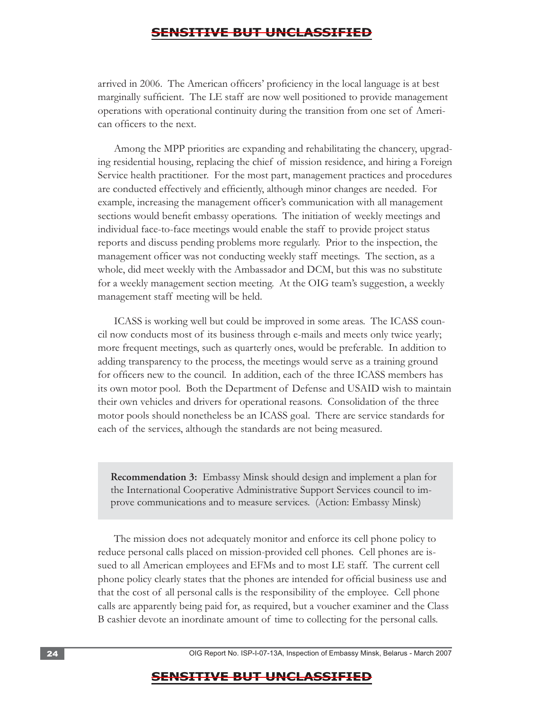arrived in 2006. The American officers' proficiency in the local language is at best marginally sufficient. The LE staff are now well positioned to provide management operations with operational continuity during the transition from one set of American officers to the next.

Among the MPP priorities are expanding and rehabilitating the chancery, upgrading residential housing, replacing the chief of mission residence, and hiring a Foreign Service health practitioner. For the most part, management practices and procedures are conducted effectively and efficiently, although minor changes are needed. For example, increasing the management officer's communication with all management sections would benefit embassy operations. The initiation of weekly meetings and individual face-to-face meetings would enable the staff to provide project status reports and discuss pending problems more regularly. Prior to the inspection, the management officer was not conducting weekly staff meetings. The section, as a whole, did meet weekly with the Ambassador and DCM, but this was no substitute for a weekly management section meeting. At the OIG team's suggestion, a weekly management staff meeting will be held.

ICASS is working well but could be improved in some areas. The ICASS council now conducts most of its business through e-mails and meets only twice yearly; more frequent meetings, such as quarterly ones, would be preferable. In addition to adding transparency to the process, the meetings would serve as a training ground for officers new to the council. In addition, each of the three ICASS members has its own motor pool. Both the Department of Defense and USAID wish to maintain their own vehicles and drivers for operational reasons. Consolidation of the three motor pools should nonetheless be an ICASS goal. There are service standards for each of the services, although the standards are not being measured.

**Recommendation 3:** Embassy Minsk should design and implement a plan for the International Cooperative Administrative Support Services council to improve communications and to measure services. (Action: Embassy Minsk)

The mission does not adequately monitor and enforce its cell phone policy to reduce personal calls placed on mission-provided cell phones. Cell phones are issued to all American employees and EFMs and to most LE staff. The current cell phone policy clearly states that the phones are intended for official business use and that the cost of all personal calls is the responsibility of the employee. Cell phone calls are apparently being paid for, as required, but a voucher examiner and the Class B cashier devote an inordinate amount of time to collecting for the personal calls.

24 **24 24 COM COMP COMP COMP COMP COMP COMP COMP COMP COMP COMP COMP COMP COMP COMP COMP COMP COMP COMP COMP COMP COMP COMP COMP COMP COMP COMP COMP COMP COMP**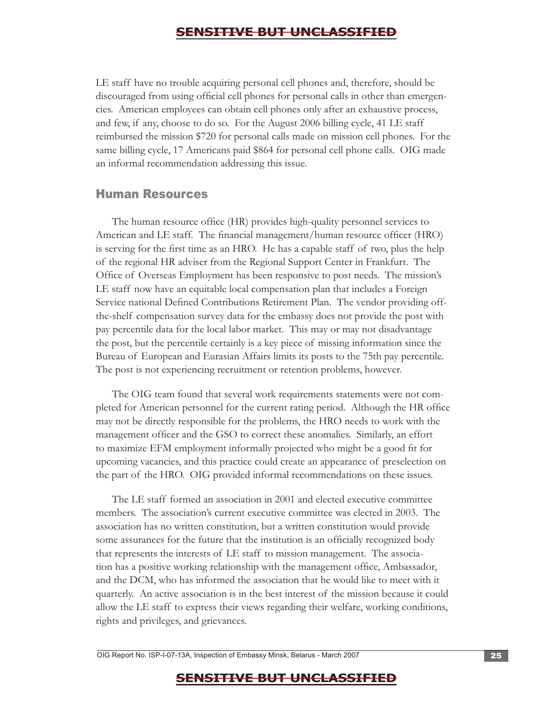LE staff have no trouble acquiring personal cell phones and, therefore, should be discouraged from using official cell phones for personal calls in other than emergencies. American employees can obtain cell phones only after an exhaustive process, and few, if any, choose to do so. For the August 2006 billing cycle, 41 LE staff reimbursed the mission \$720 for personal calls made on mission cell phones. For the same billing cycle, 17 Americans paid \$864 for personal cell phone calls. OIG made an informal recommendation addressing this issue.

#### Human Resources

The post is not experiencing recruitment or retention problems, however. The human resource office (HR) provides high-quality personnel services to American and LE staff. The financial management/human resource officer (HRO) is serving for the first time as an HRO. He has a capable staff of two, plus the help of the regional HR adviser from the Regional Support Center in Frankfurt. The Office of Overseas Employment has been responsive to post needs. The mission's LE staff now have an equitable local compensation plan that includes a Foreign Service national Defined Contributions Retirement Plan. The vendor providing offthe-shelf compensation survey data for the embassy does not provide the post with pay percentile data for the local labor market. This may or may not disadvantage the post, but the percentile certainly is a key piece of missing information since the Bureau of European and Eurasian Affairs limits its posts to the 75th pay percentile.

 the part of the HRO. OIG provided informal recommendations on these issues. The OIG team found that several work requirements statements were not completed for American personnel for the current rating period. Although the HR office may not be directly responsible for the problems, the HRO needs to work with the management officer and the GSO to correct these anomalies. Similarly, an effort to maximize EFM employment informally projected who might be a good fit for upcoming vacancies, and this practice could create an appearance of preselection on

The LE staff formed an association in 2001 and elected executive committee members. The association's current executive committee was elected in 2003. The association has no written constitution, but a written constitution would provide some assurances for the future that the institution is an officially recognized body that represents the interests of LE staff to mission management. The association has a positive working relationship with the management office, Ambassador, and the DCM, who has informed the association that he would like to meet with it quarterly. An active association is in the best interest of the mission because it could allow the LE staff to express their views regarding their welfare, working conditions, rights and privileges, and grievances.

OIG Report No. ISP-I-07-13A, Inspection of Embassy Minsk, Belarus - March 2007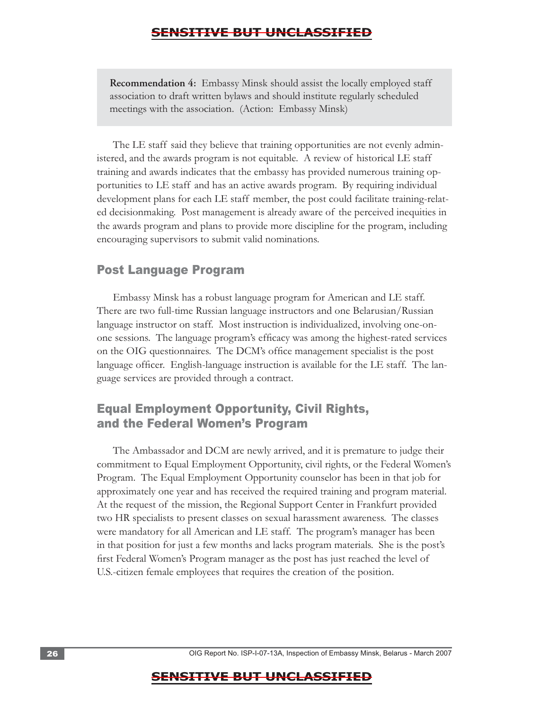**Recommendation 4:** Embassy Minsk should assist the locally employed staff association to draft written bylaws and should institute regularly scheduled meetings with the association. (Action: Embassy Minsk)

The LE staff said they believe that training opportunities are not evenly administered, and the awards program is not equitable. A review of historical LE staff training and awards indicates that the embassy has provided numerous training opportunities to LE staff and has an active awards program. By requiring individual development plans for each LE staff member, the post could facilitate training-related decisionmaking. Post management is already aware of the perceived inequities in the awards program and plans to provide more discipline for the program, including encouraging supervisors to submit valid nominations.

#### Post Language Program

Embassy Minsk has a robust language program for American and LE staff. There are two full-time Russian language instructors and one Belarusian/Russian language instructor on staff. Most instruction is individualized, involving one-onone sessions. The language program's efficacy was among the highest-rated services on the OIG questionnaires. The DCM's office management specialist is the post language officer. English-language instruction is available for the LE staff. The language services are provided through a contract.

### Equal Employment Opportunity, Civil Rights, and the Federal Women's Program

The Ambassador and DCM are newly arrived, and it is premature to judge their commitment to Equal Employment Opportunity, civil rights, or the Federal Women's Program. The Equal Employment Opportunity counselor has been in that job for approximately one year and has received the required training and program material. At the request of the mission, the Regional Support Center in Frankfurt provided two HR specialists to present classes on sexual harassment awareness. The classes were mandatory for all American and LE staff. The program's manager has been in that position for just a few months and lacks program materials. She is the post's first Federal Women's Program manager as the post has just reached the level of U.S.-citizen female employees that requires the creation of the position.

26 **26** OIG Report No. ISP-I-07-13A, Inspection of Embassy Minsk, Belarus - March 2007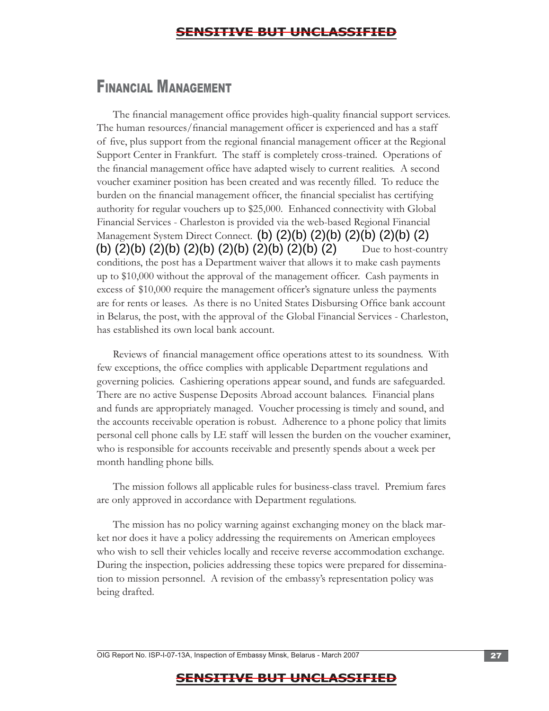# FINANCIAL MANAGEMENT

Management System Direct Connect.  $(b)$   $(2)(b)$   $(2)(b)$   $(2)(b)$   $(2)(b)$   $(2)$ (b) (2)(b) (2)(b) (2)(b) (2)(b) (2)(b) (2)(b) (2) The financial management office provides high-quality financial support services. The human resources/financial management officer is experienced and has a staff of five, plus support from the regional financial management officer at the Regional Support Center in Frankfurt. The staff is completely cross-trained. Operations of the financial management office have adapted wisely to current realities. A second voucher examiner position has been created and was recently filled. To reduce the burden on the financial management officer, the financial specialist has certifying authority for regular vouchers up to \$25,000. Enhanced connectivity with Global Financial Services - Charleston is provided via the web-based Regional Financial Due to host-country conditions, the post has a Department waiver that allows it to make cash payments up to \$10,000 without the approval of the management officer. Cash payments in excess of \$10,000 require the management officer's signature unless the payments are for rents or leases. As there is no United States Disbursing Office bank account in Belarus, the post, with the approval of the Global Financial Services - Charleston, has established its own local bank account.

Reviews of financial management office operations attest to its soundness. With few exceptions, the office complies with applicable Department regulations and governing policies. Cashiering operations appear sound, and funds are safeguarded. There are no active Suspense Deposits Abroad account balances. Financial plans and funds are appropriately managed. Voucher processing is timely and sound, and the accounts receivable operation is robust. Adherence to a phone policy that limits personal cell phone calls by LE staff will lessen the burden on the voucher examiner, who is responsible for accounts receivable and presently spends about a week per month handling phone bills.

The mission follows all applicable rules for business-class travel. Premium fares are only approved in accordance with Department regulations.

The mission has no policy warning against exchanging money on the black market nor does it have a policy addressing the requirements on American employees who wish to sell their vehicles locally and receive reverse accommodation exchange. During the inspection, policies addressing these topics were prepared for dissemination to mission personnel. A revision of the embassy's representation policy was being drafted.

OIG Report No. ISP-I-07-13A, Inspection of Embassy Minsk, Belarus - March 2007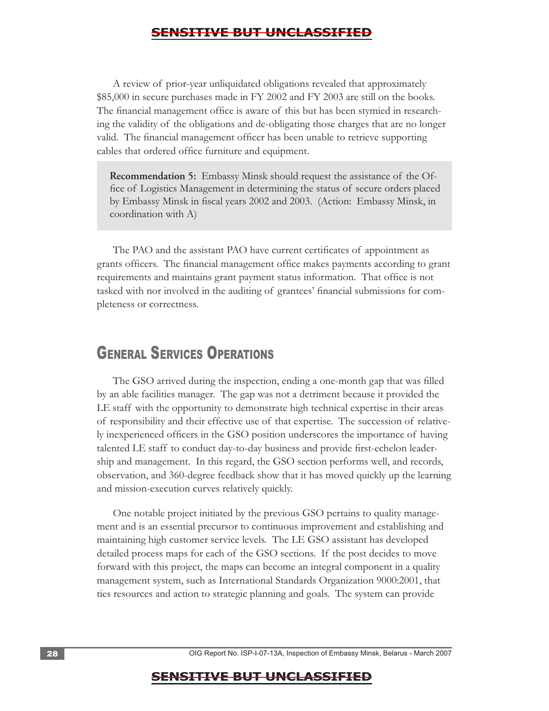A review of prior-year unliquidated obligations revealed that approximately \$85,000 in secure purchases made in FY 2002 and FY 2003 are still on the books. The financial management office is aware of this but has been stymied in researching the validity of the obligations and de-obligating those charges that are no longer valid. The financial management officer has been unable to retrieve supporting cables that ordered office furniture and equipment.

**Recommendation 5:** Embassy Minsk should request the assistance of the Office of Logistics Management in determining the status of secure orders placed by Embassy Minsk in fiscal years 2002 and 2003. (Action: Embassy Minsk, in coordination with A)

The PAO and the assistant PAO have current certificates of appointment as grants officers. The financial management office makes payments according to grant requirements and maintains grant payment status information. That office is not tasked with nor involved in the auditing of grantees' financial submissions for completeness or correctness.

# GENERAL SERVICES OPERATIONS

The GSO arrived during the inspection, ending a one-month gap that was filled by an able facilities manager. The gap was not a detriment because it provided the LE staff with the opportunity to demonstrate high technical expertise in their areas of responsibility and their effective use of that expertise. The succession of relatively inexperienced officers in the GSO position underscores the importance of having talented LE staff to conduct day-to-day business and provide first-echelon leadership and management. In this regard, the GSO section performs well, and records, observation, and 360-degree feedback show that it has moved quickly up the learning and mission-execution curves relatively quickly.

One notable project initiated by the previous GSO pertains to quality management and is an essential precursor to continuous improvement and establishing and maintaining high customer service levels. The LE GSO assistant has developed detailed process maps for each of the GSO sections. If the post decides to move forward with this project, the maps can become an integral component in a quality management system, such as International Standards Organization 9000:2001, that ties resources and action to strategic planning and goals. The system can provide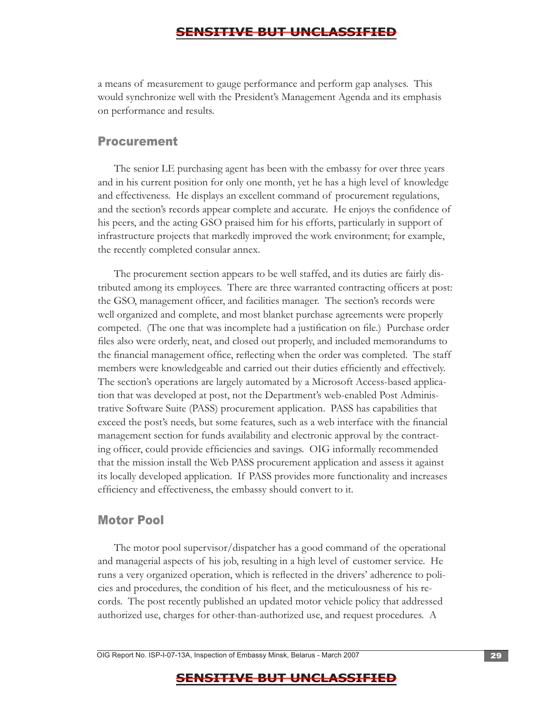a means of measurement to gauge performance and perform gap analyses. This would synchronize well with the President's Management Agenda and its emphasis on performance and results.

#### Procurement

The senior LE purchasing agent has been with the embassy for over three years and in his current position for only one month, yet he has a high level of knowledge and effectiveness. He displays an excellent command of procurement regulations, and the section's records appear complete and accurate. He enjoys the confidence of his peers, and the acting GSO praised him for his efforts, particularly in support of infrastructure projects that markedly improved the work environment; for example, the recently completed consular annex.

The procurement section appears to be well staffed, and its duties are fairly distributed among its employees. There are three warranted contracting officers at post: the GSO, management officer, and facilities manager. The section's records were well organized and complete, and most blanket purchase agreements were properly competed. (The one that was incomplete had a justification on file.) Purchase order files also were orderly, neat, and closed out properly, and included memorandums to the financial management office, reflecting when the order was completed. The staff members were knowledgeable and carried out their duties efficiently and effectively. The section's operations are largely automated by a Microsoft Access-based application that was developed at post, not the Department's web-enabled Post Administrative Software Suite (PASS) procurement application. PASS has capabilities that exceed the post's needs, but some features, such as a web interface with the financial management section for funds availability and electronic approval by the contracting officer, could provide efficiencies and savings. OIG informally recommended that the mission install the Web PASS procurement application and assess it against its locally developed application. If PASS provides more functionality and increases efficiency and effectiveness, the embassy should convert to it.

#### Motor Pool

The motor pool supervisor/dispatcher has a good command of the operational and managerial aspects of his job, resulting in a high level of customer service. He runs a very organized operation, which is reflected in the drivers' adherence to policies and procedures, the condition of his fleet, and the meticulousness of his records. The post recently published an updated motor vehicle policy that addressed authorized use, charges for other-than-authorized use, and request procedures. A

OIG Report No. ISP-I-07-13A, Inspection of Embassy Minsk, Belarus - March 2007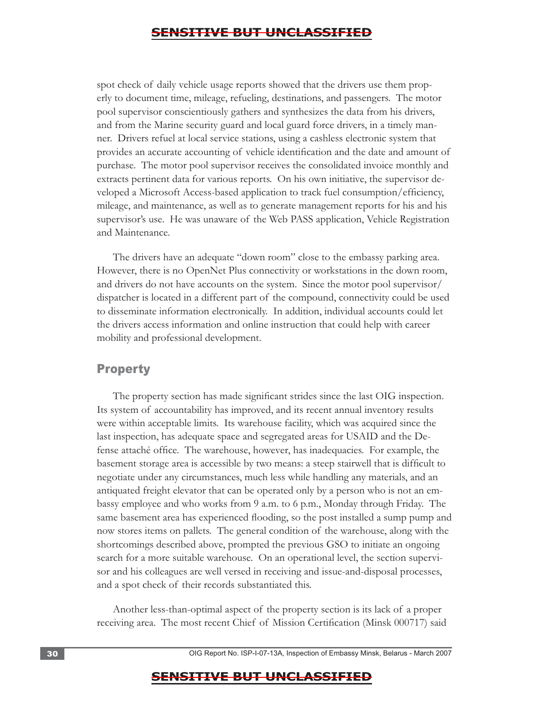spot check of daily vehicle usage reports showed that the drivers use them properly to document time, mileage, refueling, destinations, and passengers. The motor pool supervisor conscientiously gathers and synthesizes the data from his drivers, and from the Marine security guard and local guard force drivers, in a timely manner. Drivers refuel at local service stations, using a cashless electronic system that provides an accurate accounting of vehicle identification and the date and amount of purchase. The motor pool supervisor receives the consolidated invoice monthly and extracts pertinent data for various reports. On his own initiative, the supervisor developed a Microsoft Access-based application to track fuel consumption/efficiency, mileage, and maintenance, as well as to generate management reports for his and his supervisor's use. He was unaware of the Web PASS application, Vehicle Registration and Maintenance.

The drivers have an adequate "down room" close to the embassy parking area. However, there is no OpenNet Plus connectivity or workstations in the down room, and drivers do not have accounts on the system. Since the motor pool supervisor/ dispatcher is located in a different part of the compound, connectivity could be used to disseminate information electronically. In addition, individual accounts could let the drivers access information and online instruction that could help with career mobility and professional development.

#### Property

The property section has made significant strides since the last OIG inspection. Its system of accountability has improved, and its recent annual inventory results were within acceptable limits. Its warehouse facility, which was acquired since the last inspection, has adequate space and segregated areas for USAID and the Defense attaché office. The warehouse, however, has inadequacies. For example, the basement storage area is accessible by two means: a steep stairwell that is difficult to negotiate under any circumstances, much less while handling any materials, and an antiquated freight elevator that can be operated only by a person who is not an embassy employee and who works from 9 a.m. to 6 p.m., Monday through Friday. The same basement area has experienced flooding, so the post installed a sump pump and now stores items on pallets. The general condition of the warehouse, along with the shortcomings described above, prompted the previous GSO to initiate an ongoing search for a more suitable warehouse. On an operational level, the section supervisor and his colleagues are well versed in receiving and issue-and-disposal processes, and a spot check of their records substantiated this.

Another less-than-optimal aspect of the property section is its lack of a proper receiving area. The most recent Chief of Mission Certification (Minsk 000717) said

30 . OIG Report No. ISP-I-07-13A, Inspection of Embassy Minsk, Belarus - March 2007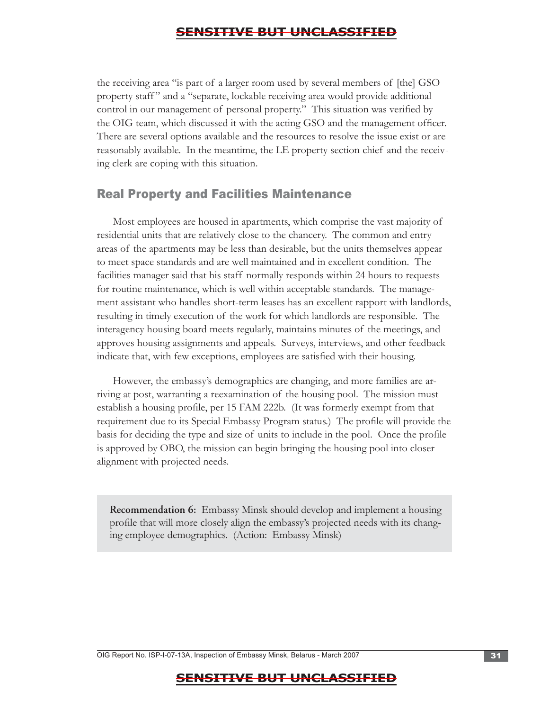the OIG team, which discussed it with the acting GSO and the management officer.<br>There are several options available and the resources to resolve the issue exist or are the receiving area "is part of a larger room used by several members of [the] GSO property staff " and a "separate, lockable receiving area would provide additional control in our management of personal property." This situation was verified by reasonably available. In the meantime, the LE property section chief and the receiving clerk are coping with this situation.

#### Real Property and Facilities Maintenance

Most employees are housed in apartments, which comprise the vast majority of residential units that are relatively close to the chancery. The common and entry areas of the apartments may be less than desirable, but the units themselves appear to meet space standards and are well maintained and in excellent condition. The facilities manager said that his staff normally responds within 24 hours to requests for routine maintenance, which is well within acceptable standards. The management assistant who handles short-term leases has an excellent rapport with landlords, resulting in timely execution of the work for which landlords are responsible. The interagency housing board meets regularly, maintains minutes of the meetings, and approves housing assignments and appeals. Surveys, interviews, and other feedback indicate that, with few exceptions, employees are satisfied with their housing.

However, the embassy's demographics are changing, and more families are arriving at post, warranting a reexamination of the housing pool. The mission must establish a housing profile, per 15 FAM 222b. (It was formerly exempt from that requirement due to its Special Embassy Program status.) The profile will provide the basis for deciding the type and size of units to include in the pool. Once the profile is approved by OBO, the mission can begin bringing the housing pool into closer alignment with projected needs.

**Recommendation 6:** Embassy Minsk should develop and implement a housing profile that will more closely align the embassy's projected needs with its changing employee demographics. (Action: Embassy Minsk)

OIG Report No. ISP-I-07-13A, Inspection of Embassy Minsk, Belarus - March 2007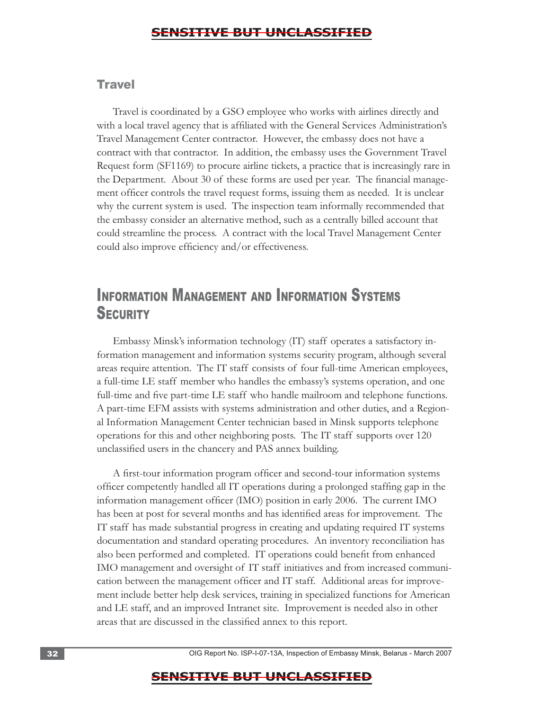#### **Travel**

Travel is coordinated by a GSO employee who works with airlines directly and with a local travel agency that is affiliated with the General Services Administration's Travel Management Center contractor. However, the embassy does not have a contract with that contractor. In addition, the embassy uses the Government Travel Request form (SF1169) to procure airline tickets, a practice that is increasingly rare in the Department. About 30 of these forms are used per year. The financial management officer controls the travel request forms, issuing them as needed. It is unclear why the current system is used. The inspection team informally recommended that the embassy consider an alternative method, such as a centrally billed account that could streamline the process. A contract with the local Travel Management Center could also improve efficiency and/or effectiveness.

# INFORMATION MANAGEMENT AND INFORMATION SYSTEMS **SECURITY**

Embassy Minsk's information technology (IT) staff operates a satisfactory information management and information systems security program, although several areas require attention. The IT staff consists of four full-time American employees, a full-time LE staff member who handles the embassy's systems operation, and one full-time and five part-time LE staff who handle mailroom and telephone functions. A part-time EFM assists with systems administration and other duties, and a Regional Information Management Center technician based in Minsk supports telephone operations for this and other neighboring posts. The IT staff supports over 120 unclassified users in the chancery and PAS annex building.

A first-tour information program officer and second-tour information systems officer competently handled all IT operations during a prolonged staffing gap in the information management officer (IMO) position in early 2006. The current IMO has been at post for several months and has identified areas for improvement. The IT staff has made substantial progress in creating and updating required IT systems documentation and standard operating procedures. An inventory reconciliation has also been performed and completed. IT operations could benefit from enhanced IMO management and oversight of IT staff initiatives and from increased communication between the management officer and IT staff. Additional areas for improvement include better help desk services, training in specialized functions for American and LE staff, and an improved Intranet site. Improvement is needed also in other areas that are discussed in the classified annex to this report.

32 . OIG Report No. ISP-I-07-13A, Inspection of Embassy Minsk, Belarus - March 2007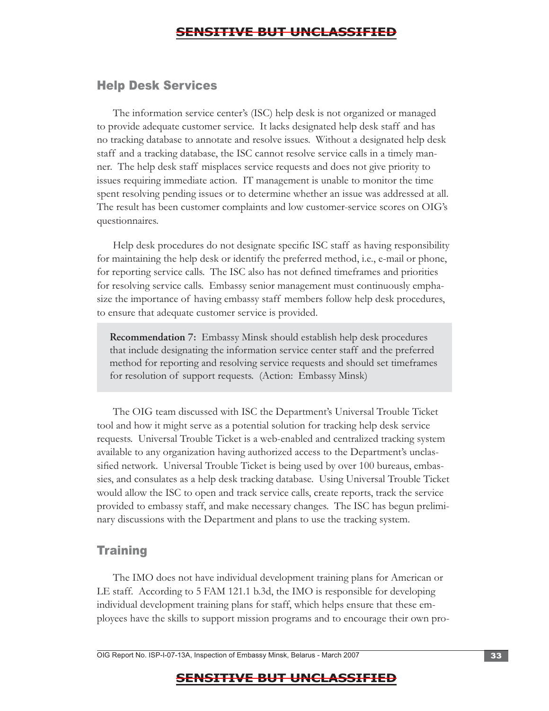#### Help Desk Services

The information service center's (ISC) help desk is not organized or managed to provide adequate customer service. It lacks designated help desk staff and has no tracking database to annotate and resolve issues. Without a designated help desk staff and a tracking database, the ISC cannot resolve service calls in a timely manner. The help desk staff misplaces service requests and does not give priority to issues requiring immediate action. IT management is unable to monitor the time spent resolving pending issues or to determine whether an issue was addressed at all. The result has been customer complaints and low customer-service scores on OIG's questionnaires.

Help desk procedures do not designate specific ISC staff as having responsibility for maintaining the help desk or identify the preferred method, i.e., e-mail or phone, for reporting service calls. The ISC also has not defined timeframes and priorities for resolving service calls. Embassy senior management must continuously emphasize the importance of having embassy staff members follow help desk procedures, to ensure that adequate customer service is provided.

**Recommendation 7:** Embassy Minsk should establish help desk procedures that include designating the information service center staff and the preferred method for reporting and resolving service requests and should set timeframes for resolution of support requests. (Action: Embassy Minsk)

The OIG team discussed with ISC the Department's Universal Trouble Ticket tool and how it might serve as a potential solution for tracking help desk service requests. Universal Trouble Ticket is a web-enabled and centralized tracking system available to any organization having authorized access to the Department's unclassified network. Universal Trouble Ticket is being used by over 100 bureaus, embassies, and consulates as a help desk tracking database. Using Universal Trouble Ticket would allow the ISC to open and track service calls, create reports, track the service provided to embassy staff, and make necessary changes. The ISC has begun preliminary discussions with the Department and plans to use the tracking system.

#### **Training**

The IMO does not have individual development training plans for American or LE staff. According to 5 FAM 121.1 b.3d, the IMO is responsible for developing individual development training plans for staff, which helps ensure that these employees have the skills to support mission programs and to encourage their own pro-

OIG Report No. ISP-I-07-13A, Inspection of Embassy Minsk, Belarus - March 2007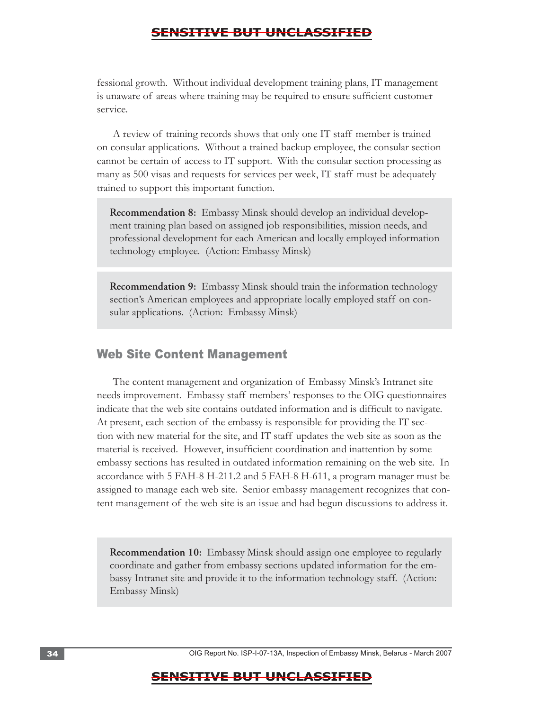fessional growth. Without individual development training plans, IT management is unaware of areas where training may be required to ensure sufficient customer service.

A review of training records shows that only one IT staff member is trained on consular applications. Without a trained backup employee, the consular section cannot be certain of access to IT support. With the consular section processing as many as 500 visas and requests for services per week, IT staff must be adequately trained to support this important function.

**Recommendation 8:** Embassy Minsk should develop an individual development training plan based on assigned job responsibilities, mission needs, and professional development for each American and locally employed information technology employee. (Action: Embassy Minsk)

**Recommendation 9:** Embassy Minsk should train the information technology section's American employees and appropriate locally employed staff on consular applications. (Action: Embassy Minsk)

#### Web Site Content Management

The content management and organization of Embassy Minsk's Intranet site needs improvement. Embassy staff members' responses to the OIG questionnaires indicate that the web site contains outdated information and is difficult to navigate. At present, each section of the embassy is responsible for providing the IT section with new material for the site, and IT staff updates the web site as soon as the material is received. However, insufficient coordination and inattention by some embassy sections has resulted in outdated information remaining on the web site. In accordance with 5 FAH-8 H-211.2 and 5 FAH-8 H-611, a program manager must be assigned to manage each web site. Senior embassy management recognizes that content management of the web site is an issue and had begun discussions to address it.

**Recommendation 10:** Embassy Minsk should assign one employee to regularly coordinate and gather from embassy sections updated information for the embassy Intranet site and provide it to the information technology staff. (Action: Embassy Minsk)

34 . OIG Report No. ISP-I-07-13A, Inspection of Embassy Minsk, Belarus - March 2007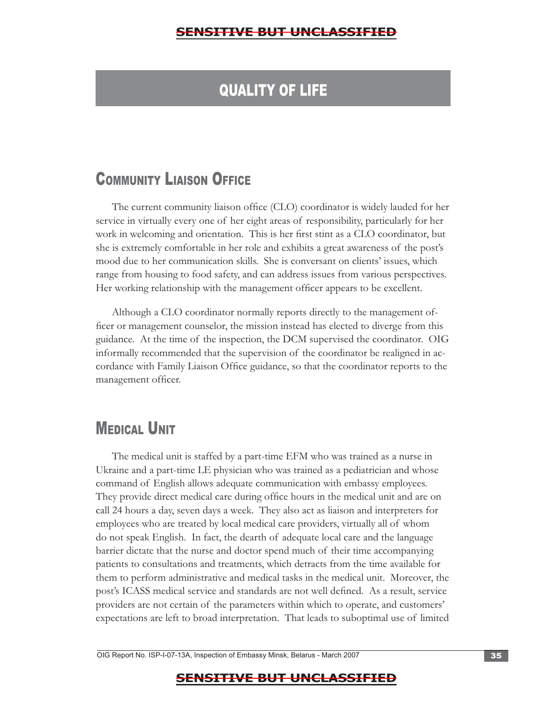# QUALITY OF LIFE

# **COMMUNITY LIAISON OFFICE**

 range from housing to food safety, and can address issues from various perspectives. Her working relationship with the management officer appears to be excellent. The current community liaison office (CLO) coordinator is widely lauded for her service in virtually every one of her eight areas of responsibility, particularly for her work in welcoming and orientation. This is her first stint as a CLO coordinator, but she is extremely comfortable in her role and exhibits a great awareness of the post's mood due to her communication skills. She is conversant on clients' issues, which

Although a CLO coordinator normally reports directly to the management officer or management counselor, the mission instead has elected to diverge from this guidance. At the time of the inspection, the DCM supervised the coordinator. OIG informally recommended that the supervision of the coordinator be realigned in accordance with Family Liaison Office guidance, so that the coordinator reports to the management officer.

# **MEDICAL UNIT**

The medical unit is staffed by a part-time EFM who was trained as a nurse in Ukraine and a part-time LE physician who was trained as a pediatrician and whose command of English allows adequate communication with embassy employees. They provide direct medical care during office hours in the medical unit and are on call 24 hours a day, seven days a week. They also act as liaison and interpreters for employees who are treated by local medical care providers, virtually all of whom do not speak English. In fact, the dearth of adequate local care and the language barrier dictate that the nurse and doctor spend much of their time accompanying patients to consultations and treatments, which detracts from the time available for them to perform administrative and medical tasks in the medical unit. Moreover, the post's ICASS medical service and standards are not well defined. As a result, service providers are not certain of the parameters within which to operate, and customers' expectations are left to broad interpretation. That leads to suboptimal use of limited

OIG Report No. ISP-I-07-13A, Inspection of Embassy Minsk, Belarus - March 2007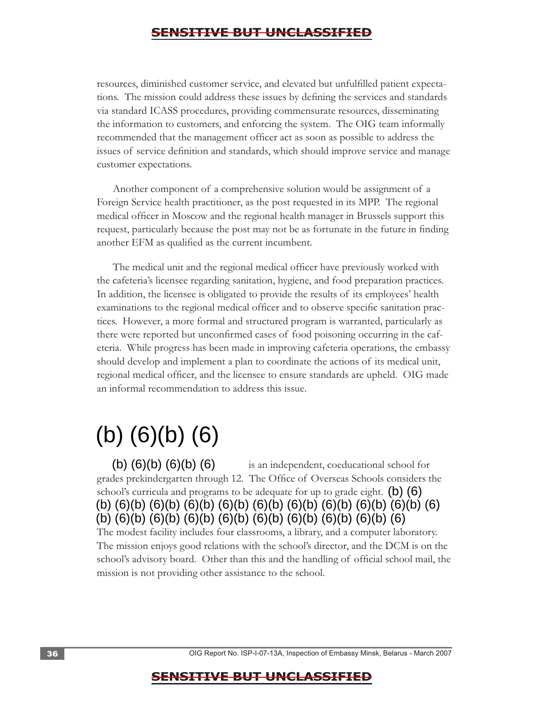resources, diminished customer service, and elevated but unfulfilled patient expectations. The mission could address these issues by defining the services and standards via standard ICASS procedures, providing commensurate resources, disseminating the information to customers, and enforcing the system. The OIG team informally recommended that the management officer act as soon as possible to address the issues of service definition and standards, which should improve service and manage customer expectations.

Another component of a comprehensive solution would be assignment of a Foreign Service health practitioner, as the post requested in its MPP. The regional medical officer in Moscow and the regional health manager in Brussels support this request, particularly because the post may not be as fortunate in the future in finding another EFM as qualified as the current incumbent.

The medical unit and the regional medical officer have previously worked with the cafeteria's licensee regarding sanitation, hygiene, and food preparation practices. In addition, the licensee is obligated to provide the results of its employees' health examinations to the regional medical officer and to observe specific sanitation practices. However, a more formal and structured program is warranted, particularly as there were reported but unconfirmed cases of food poisoning occurring in the cafeteria. While progress has been made in improving cafeteria operations, the embassy should develop and implement a plan to coordinate the actions of its medical unit, regional medical officer, and the licensee to ensure standards are upheld. OIG made an informal recommendation to address this issue.

# (b) (6)(b) (6)

 is an independent, coeducational school for grades prekindergarten through 12. The Office of Overseas Schools considers the school's curricula and programs to be adequate for up to grade eight.  $(b)$   $(6)$ (b) (6)(b) (6)(b) (6) (b) (6)(b) (6)(b) (6)(b) (6)(b) (6)(b) (6)(b) (6)(b) (6)(b) (6)(b) (6) (b) (6)(b) (6)(b) (6)(b) (6)(b) (6)(b) (6)(b) (6)(b) (6)(b) (6) The modest facility includes four classrooms, a library, and a computer laboratory. The mission enjoys good relations with the school's director, and the DCM is on the school's advisory board. Other than this and the handling of official school mail, the mission is not providing other assistance to the school.

36 **36** . OIG Report No. ISP-I-07-13A, Inspection of Embassy Minsk, Belarus - March 2007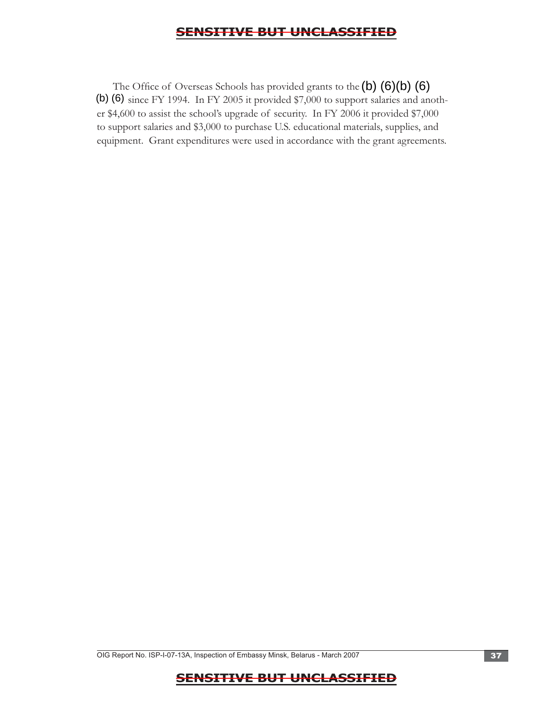The Office of Overseas Schools has provided grants to the  $(b)$   $(6)(b)$   $(6)$ (b) (6) since FY 1994. In FY 2005 it provided \$7,000 to support salaries and another \$4,600 to assist the school's upgrade of security. In FY 2006 it provided \$7,000 to support salaries and \$3,000 to purchase U.S. educational materials, supplies, and equipment. Grant expenditures were used in accordance with the grant agreements.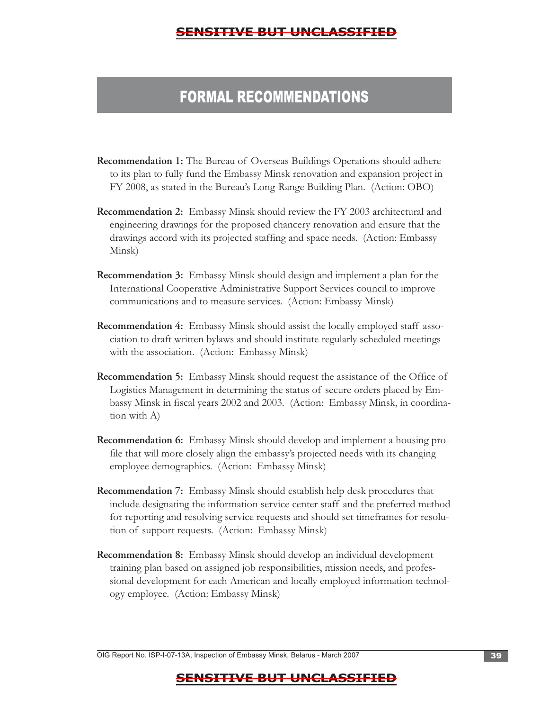# FORMAL RECOMMENDATIONS

- **Recommendation 1:** The Bureau of Overseas Buildings Operations should adhere to its plan to fully fund the Embassy Minsk renovation and expansion project in FY 2008, as stated in the Bureau's Long-Range Building Plan. (Action: OBO)
- **Recommendation 2:** Embassy Minsk should review the FY 2003 architectural and engineering drawings for the proposed chancery renovation and ensure that the drawings accord with its projected staffing and space needs. (Action: Embassy Minsk)
- **Recommendation 3:** Embassy Minsk should design and implement a plan for the International Cooperative Administrative Support Services council to improve communications and to measure services. (Action: Embassy Minsk)
- **Recommendation 4:** Embassy Minsk should assist the locally employed staff association to draft written bylaws and should institute regularly scheduled meetings with the association. (Action: Embassy Minsk)
- **Recommendation 5:** Embassy Minsk should request the assistance of the Office of Logistics Management in determining the status of secure orders placed by Embassy Minsk in fiscal years 2002 and 2003. (Action: Embassy Minsk, in coordination with A)
- **Recommendation 6:** Embassy Minsk should develop and implement a housing profile that will more closely align the embassy's projected needs with its changing employee demographics. (Action: Embassy Minsk)
- **Recommendation 7:** Embassy Minsk should establish help desk procedures that include designating the information service center staff and the preferred method for reporting and resolving service requests and should set timeframes for resolution of support requests. (Action: Embassy Minsk)
- **Recommendation 8:** Embassy Minsk should develop an individual development training plan based on assigned job responsibilities, mission needs, and professional development for each American and locally employed information technology employee. (Action: Embassy Minsk)

OIG Report No. ISP-I-07-13A, Inspection of Embassy Minsk, Belarus - March 2007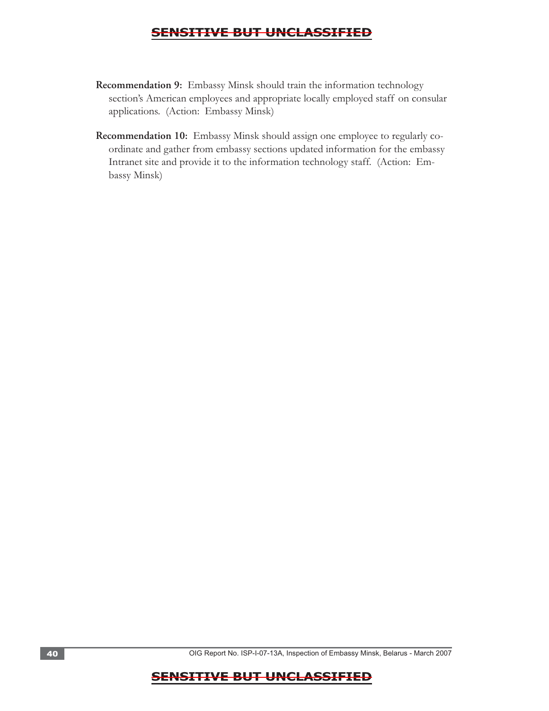- **Recommendation 9:** Embassy Minsk should train the information technology section's American employees and appropriate locally employed staff on consular applications. (Action: Embassy Minsk)
- **Recommendation 10:** Embassy Minsk should assign one employee to regularly coordinate and gather from embassy sections updated information for the embassy Intranet site and provide it to the information technology staff. (Action: Embassy Minsk)

40 . OIG Report No. ISP-I-07-13A, Inspection of Embassy Minsk, Belarus - March 2007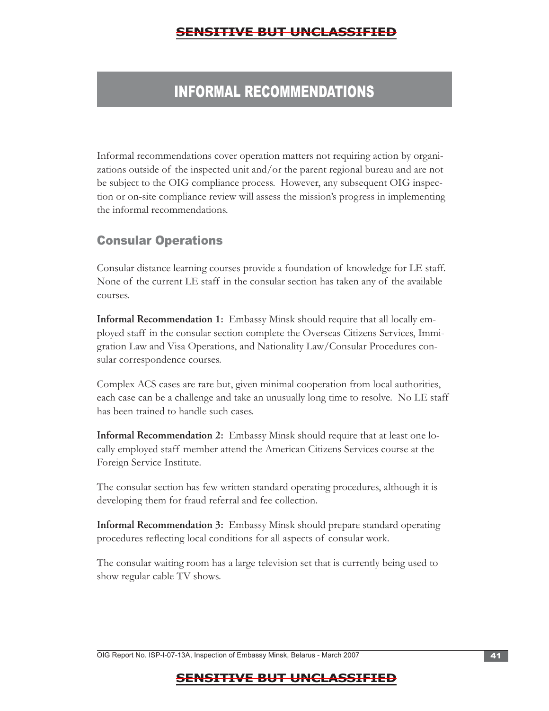# INFORMAL RECOMMENDATIONS

Informal recommendations cover operation matters not requiring action by organizations outside of the inspected unit and/or the parent regional bureau and are not be subject to the OIG compliance process. However, any subsequent OIG inspection or on-site compliance review will assess the mission's progress in implementing the informal recommendations.

# Consular Operations

Consular distance learning courses provide a foundation of knowledge for LE staff. None of the current LE staff in the consular section has taken any of the available courses.

**Informal Recommendation 1:** Embassy Minsk should require that all locally employed staff in the consular section complete the Overseas Citizens Services, Immigration Law and Visa Operations, and Nationality Law/Consular Procedures consular correspondence courses.

Complex ACS cases are rare but, given minimal cooperation from local authorities, each case can be a challenge and take an unusually long time to resolve. No LE staff has been trained to handle such cases.

**Informal Recommendation 2:** Embassy Minsk should require that at least one locally employed staff member attend the American Citizens Services course at the Foreign Service Institute.

The consular section has few written standard operating procedures, although it is developing them for fraud referral and fee collection.

**Informal Recommendation 3:** Embassy Minsk should prepare standard operating procedures reflecting local conditions for all aspects of consular work.

The consular waiting room has a large television set that is currently being used to show regular cable TV shows.

OIG Report No. ISP-I-07-13A, Inspection of Embassy Minsk, Belarus - March 2007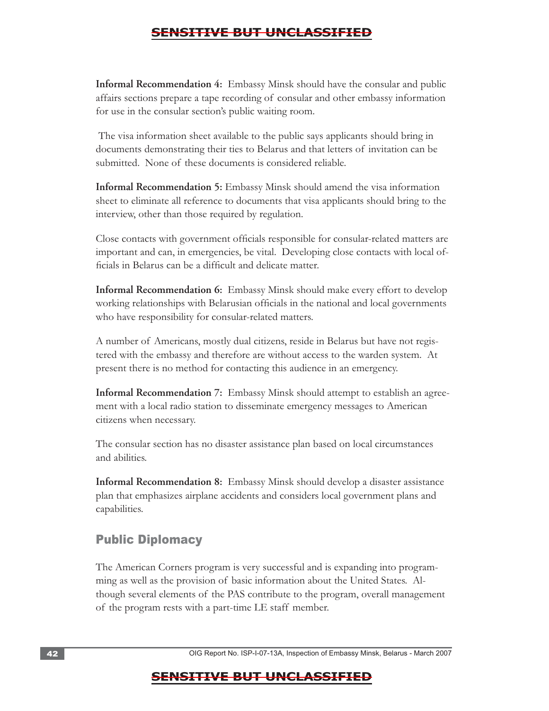**Informal Recommendation 4:** Embassy Minsk should have the consular and public affairs sections prepare a tape recording of consular and other embassy information for use in the consular section's public waiting room.

 The visa information sheet available to the public says applicants should bring in documents demonstrating their ties to Belarus and that letters of invitation can be submitted. None of these documents is considered reliable.

**Informal Recommendation 5:** Embassy Minsk should amend the visa information sheet to eliminate all reference to documents that visa applicants should bring to the interview, other than those required by regulation.

Close contacts with government officials responsible for consular-related matters are important and can, in emergencies, be vital. Developing close contacts with local officials in Belarus can be a difficult and delicate matter.

**Informal Recommendation 6:** Embassy Minsk should make every effort to develop working relationships with Belarusian officials in the national and local governments who have responsibility for consular-related matters.

A number of Americans, mostly dual citizens, reside in Belarus but have not registered with the embassy and therefore are without access to the warden system. At present there is no method for contacting this audience in an emergency.

citizens when necessary. **Informal Recommendation 7:** Embassy Minsk should attempt to establish an agreement with a local radio station to disseminate emergency messages to American

The consular section has no disaster assistance plan based on local circumstances and abilities.

**Informal Recommendation 8:** Embassy Minsk should develop a disaster assistance plan that emphasizes airplane accidents and considers local government plans and capabilities.

# Public Diplomacy

The American Corners program is very successful and is expanding into programming as well as the provision of basic information about the United States. Although several elements of the PAS contribute to the program, overall management of the program rests with a part-time LE staff member.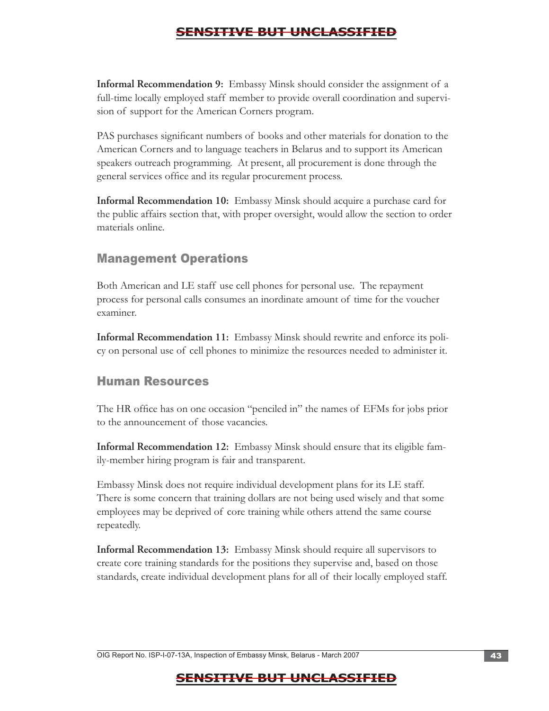**Informal Recommendation 9:** Embassy Minsk should consider the assignment of a full-time locally employed staff member to provide overall coordination and supervision of support for the American Corners program.

PAS purchases significant numbers of books and other materials for donation to the American Corners and to language teachers in Belarus and to support its American speakers outreach programming. At present, all procurement is done through the general services office and its regular procurement process.

**Informal Recommendation 10:** Embassy Minsk should acquire a purchase card for the public affairs section that, with proper oversight, would allow the section to order materials online.

# Management Operations

Both American and LE staff use cell phones for personal use. The repayment process for personal calls consumes an inordinate amount of time for the voucher examiner.

**Informal Recommendation 11:** Embassy Minsk should rewrite and enforce its policy on personal use of cell phones to minimize the resources needed to administer it.

# Human Resources

The HR office has on one occasion "penciled in" the names of EFMs for jobs prior to the announcement of those vacancies.

**Informal Recommendation 12:** Embassy Minsk should ensure that its eligible family-member hiring program is fair and transparent.

Embassy Minsk does not require individual development plans for its LE staff. There is some concern that training dollars are not being used wisely and that some employees may be deprived of core training while others attend the same course repeatedly.

**Informal Recommendation 13:** Embassy Minsk should require all supervisors to create core training standards for the positions they supervise and, based on those standards, create individual development plans for all of their locally employed staff.

OIG Report No. ISP-I-07-13A, Inspection of Embassy Minsk, Belarus - March 2007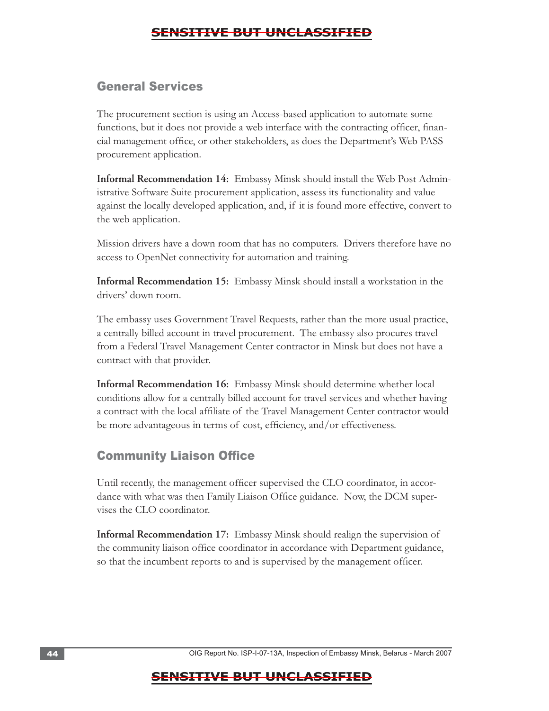#### General Services

The procurement section is using an Access-based application to automate some functions, but it does not provide a web interface with the contracting officer, financial management office, or other stakeholders, as does the Department's Web PASS procurement application.

**Informal Recommendation 14:** Embassy Minsk should install the Web Post Administrative Software Suite procurement application, assess its functionality and value against the locally developed application, and, if it is found more effective, convert to the web application.

Mission drivers have a down room that has no computers. Drivers therefore have no access to OpenNet connectivity for automation and training.

**Informal Recommendation 15:** Embassy Minsk should install a workstation in the drivers' down room.

The embassy uses Government Travel Requests, rather than the more usual practice, a centrally billed account in travel procurement. The embassy also procures travel from a Federal Travel Management Center contractor in Minsk but does not have a contract with that provider.

**Informal Recommendation 16:** Embassy Minsk should determine whether local conditions allow for a centrally billed account for travel services and whether having a contract with the local affiliate of the Travel Management Center contractor would be more advantageous in terms of cost, efficiency, and/or effectiveness.

### **Community Liaison Office**

Until recently, the management officer supervised the CLO coordinator, in accordance with what was then Family Liaison Office guidance. Now, the DCM supervises the CLO coordinator.

**Informal Recommendation 17:** Embassy Minsk should realign the supervision of the community liaison office coordinator in accordance with Department guidance, so that the incumbent reports to and is supervised by the management officer.

44 . OIG Report No. ISP-I-07-13A, Inspection of Embassy Minsk, Belarus - March 2007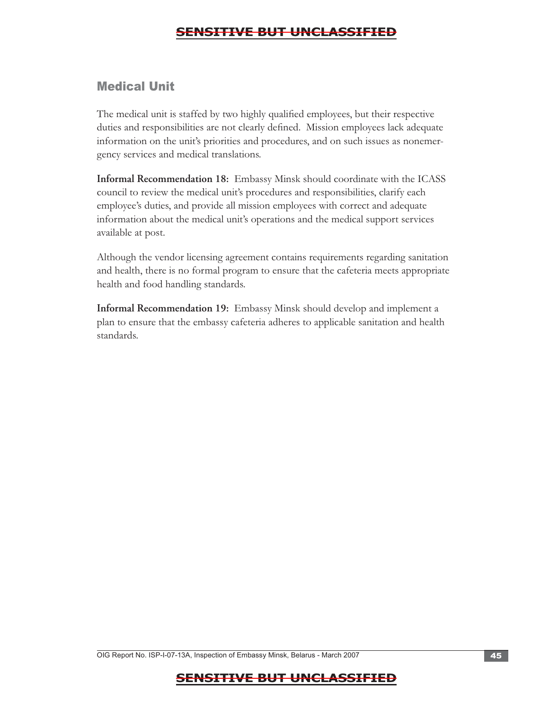# Medical Unit

The medical unit is staffed by two highly qualified employees, but their respective duties and responsibilities are not clearly defined. Mission employees lack adequate information on the unit's priorities and procedures, and on such issues as nonemergency services and medical translations.

**Informal Recommendation 18:** Embassy Minsk should coordinate with the ICASS council to review the medical unit's procedures and responsibilities, clarify each employee's duties, and provide all mission employees with correct and adequate information about the medical unit's operations and the medical support services available at post.

Although the vendor licensing agreement contains requirements regarding sanitation and health, there is no formal program to ensure that the cafeteria meets appropriate health and food handling standards.

**Informal Recommendation 19:** Embassy Minsk should develop and implement a plan to ensure that the embassy cafeteria adheres to applicable sanitation and health standards.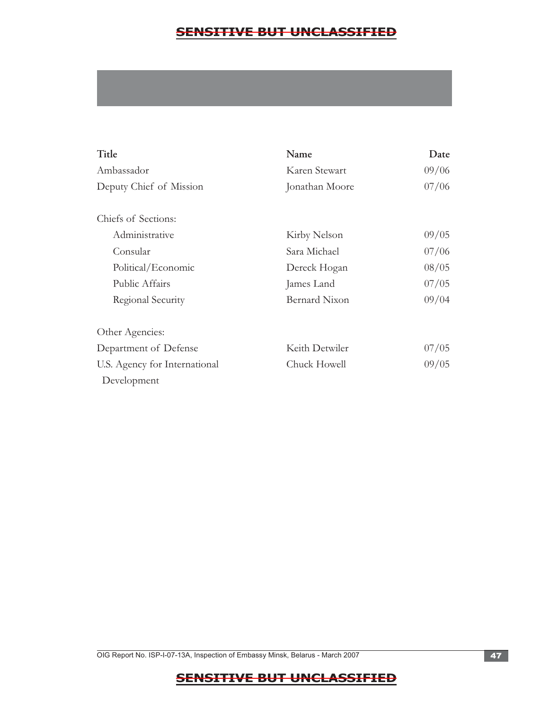| Title                         | Name                 | Date  |
|-------------------------------|----------------------|-------|
| Ambassador                    | Karen Stewart        | 09/06 |
| Deputy Chief of Mission       | Jonathan Moore       | 07/06 |
| Chiefs of Sections:           |                      |       |
| Administrative                | Kirby Nelson         | 09/05 |
| Consular                      | Sara Michael         | 07/06 |
| Political/Economic            | Dereck Hogan         | 08/05 |
| Public Affairs                | James Land           | 07/05 |
| Regional Security             | <b>Bernard Nixon</b> | 09/04 |
| Other Agencies:               |                      |       |
| Department of Defense         | Keith Detwiler       | 07/05 |
| U.S. Agency for International | Chuck Howell         | 09/05 |
| Development                   |                      |       |

OIG Report No. ISP-I-07-13A, Inspection of Embassy Minsk, Belarus - March 2007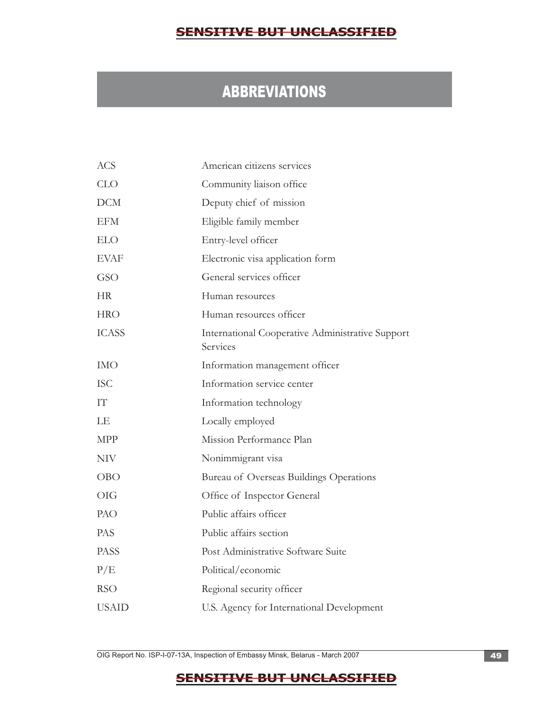# ABBREVIATIONS

| <b>ACS</b>   | American citizens services                                   |
|--------------|--------------------------------------------------------------|
| <b>CLO</b>   | Community liaison office                                     |
| <b>DCM</b>   | Deputy chief of mission                                      |
| <b>EFM</b>   | Eligible family member                                       |
| <b>ELO</b>   | Entry-level officer                                          |
| <b>EVAF</b>  | Electronic visa application form                             |
| GSO          | General services officer                                     |
| <b>HR</b>    | Human resources                                              |
| <b>HRO</b>   | Human resources officer                                      |
| <b>ICASS</b> | International Cooperative Administrative Support<br>Services |
| <b>IMO</b>   | Information management officer                               |
| <b>ISC</b>   | Information service center                                   |
| IT           | Information technology                                       |
| LE           | Locally employed                                             |
| <b>MPP</b>   | Mission Performance Plan                                     |
| <b>NIV</b>   | Nonimmigrant visa                                            |
| <b>OBO</b>   | Bureau of Overseas Buildings Operations                      |
| OIG          | Office of Inspector General                                  |
| PAO          | Public affairs officer                                       |
| <b>PAS</b>   | Public affairs section                                       |
| <b>PASS</b>  | Post Administrative Software Suite                           |
| P/E          | Political/economic                                           |
| <b>RSO</b>   | Regional security officer                                    |
| <b>USAID</b> | U.S. Agency for International Development                    |

OIG Report No. ISP-I-07-13A, Inspection of Embassy Minsk, Belarus - March 2007